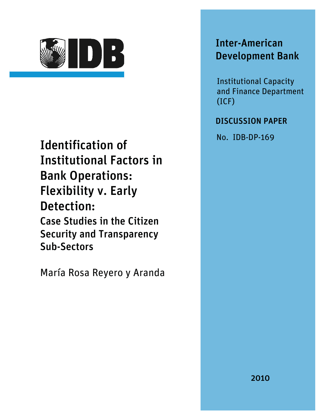

Identification of Institutional Factors in Bank Operations: Flexibility v. Early Detection: Case Studies in the Citizen Security and Transparency Sub-Sectors

María Rosa Reyero y Aranda

# Inter-American Development Bank

Institutional Capacity and Finance Department (ICF)

# DISCUSSION PAPER

No. IDB-DP-169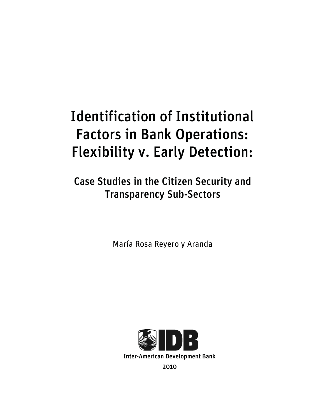# Identification of Institutional Factors in Bank Operations: Flexibility v. Early Detection:

Case Studies in the Citizen Security and Transparency Sub-Sectors

María Rosa Reyero y Aranda

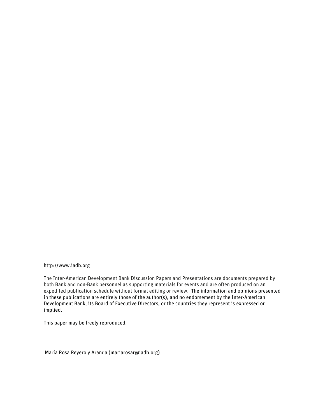#### http://www.iadb.org

The Inter-American Development Bank Discussion Papers and Presentations are documents prepared by both Bank and non-Bank personnel as supporting materials for events and are often produced on an expedited publication schedule without formal editing or review. The information and opinions presented in these publications are entirely those of the author(s), and no endorsement by the Inter-American Development Bank, its Board of Executive Directors, or the countries they represent is expressed or implied.

This paper may be freely reproduced.

María Rosa Reyero y Aranda (mariarosar@iadb.org)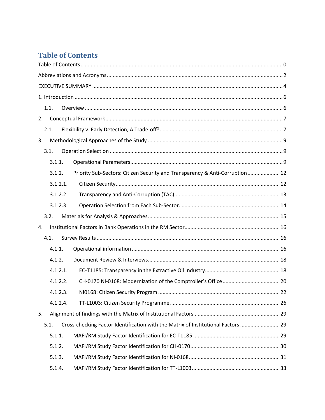# <span id="page-3-0"></span>**Table of Contents**

|    | 1.1.     |                                                                                   |  |  |  |  |  |  |
|----|----------|-----------------------------------------------------------------------------------|--|--|--|--|--|--|
| 2. |          |                                                                                   |  |  |  |  |  |  |
|    | 2.1.     |                                                                                   |  |  |  |  |  |  |
| 3. |          |                                                                                   |  |  |  |  |  |  |
|    | 3.1.     |                                                                                   |  |  |  |  |  |  |
|    | 3.1.1.   |                                                                                   |  |  |  |  |  |  |
|    | 3.1.2.   | Priority Sub-Sectors: Citizen Security and Transparency & Anti-Corruption 12      |  |  |  |  |  |  |
|    | 3.1.2.1. |                                                                                   |  |  |  |  |  |  |
|    | 3.1.2.2. |                                                                                   |  |  |  |  |  |  |
|    | 3.1.2.3. |                                                                                   |  |  |  |  |  |  |
|    | 3.2.     |                                                                                   |  |  |  |  |  |  |
| 4. |          |                                                                                   |  |  |  |  |  |  |
|    | 4.1.     |                                                                                   |  |  |  |  |  |  |
|    | 4.1.1.   |                                                                                   |  |  |  |  |  |  |
|    | 4.1.2.   |                                                                                   |  |  |  |  |  |  |
|    | 4.1.2.1. |                                                                                   |  |  |  |  |  |  |
|    | 4.1.2.2. |                                                                                   |  |  |  |  |  |  |
|    | 4.1.2.3. |                                                                                   |  |  |  |  |  |  |
|    | 4.1.2.4. |                                                                                   |  |  |  |  |  |  |
| 5. |          |                                                                                   |  |  |  |  |  |  |
|    | 5.1.     | Cross-checking Factor Identification with the Matrix of Institutional Factors  29 |  |  |  |  |  |  |
|    | 5.1.1.   |                                                                                   |  |  |  |  |  |  |
|    | 5.1.2.   |                                                                                   |  |  |  |  |  |  |
|    | 5.1.3.   |                                                                                   |  |  |  |  |  |  |
|    | 5.1.4.   |                                                                                   |  |  |  |  |  |  |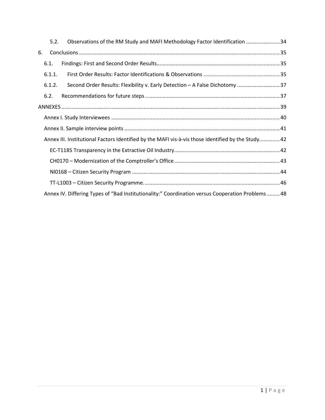|    | 5.2.   | Observations of the RM Study and MAFI Methodology Factor Identification 34                         |  |  |  |  |  |
|----|--------|----------------------------------------------------------------------------------------------------|--|--|--|--|--|
| 6. |        |                                                                                                    |  |  |  |  |  |
|    | 6.1.   |                                                                                                    |  |  |  |  |  |
|    | 6.1.1. |                                                                                                    |  |  |  |  |  |
|    | 6.1.2. | Second Order Results: Flexibility v. Early Detection - A False Dichotomy  37                       |  |  |  |  |  |
|    | 6.2.   |                                                                                                    |  |  |  |  |  |
|    |        |                                                                                                    |  |  |  |  |  |
|    |        |                                                                                                    |  |  |  |  |  |
|    |        |                                                                                                    |  |  |  |  |  |
|    |        | Annex III. Institutional Factors Identified by the MAFI vis-à-vis those identified by the Study 42 |  |  |  |  |  |
|    |        |                                                                                                    |  |  |  |  |  |
|    |        |                                                                                                    |  |  |  |  |  |
|    |        |                                                                                                    |  |  |  |  |  |
|    |        |                                                                                                    |  |  |  |  |  |
|    |        | Annex IV. Differing Types of "Bad Institutionality:" Coordination versus Cooperation Problems 48   |  |  |  |  |  |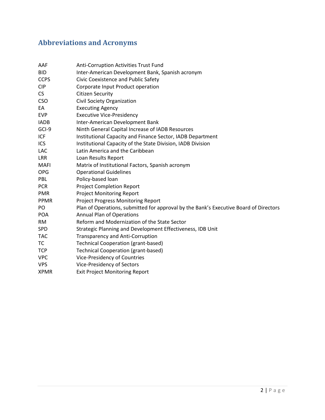# <span id="page-5-0"></span>**Abbreviations and Acronyms**

| AAF         | Anti-Corruption Activities Trust Fund                                                 |
|-------------|---------------------------------------------------------------------------------------|
| <b>BID</b>  | Inter-American Development Bank, Spanish acronym                                      |
| <b>CCPS</b> | Civic Coexistence and Public Safety                                                   |
| <b>CIP</b>  | Corporate Input Product operation                                                     |
| CS          | <b>Citizen Security</b>                                                               |
| <b>CSO</b>  | <b>Civil Society Organization</b>                                                     |
| EA          | <b>Executing Agency</b>                                                               |
| <b>EVP</b>  | <b>Executive Vice-Presidency</b>                                                      |
| <b>IADB</b> | Inter-American Development Bank                                                       |
| GCI-9       | Ninth General Capital Increase of IADB Resources                                      |
| ICF         | Institutional Capacity and Finance Sector, IADB Department                            |
| ICS         | Institutional Capacity of the State Division, IADB Division                           |
| <b>LAC</b>  | Latin America and the Caribbean                                                       |
| LRR         | Loan Results Report                                                                   |
| MAFI        | Matrix of Institutional Factors, Spanish acronym                                      |
| <b>OPG</b>  | <b>Operational Guidelines</b>                                                         |
| PBL         | Policy-based loan                                                                     |
| <b>PCR</b>  | <b>Project Completion Report</b>                                                      |
| <b>PMR</b>  | <b>Project Monitoring Report</b>                                                      |
| <b>PPMR</b> | Project Progress Monitoring Report                                                    |
| PO          | Plan of Operations, submitted for approval by the Bank's Executive Board of Directors |
| <b>POA</b>  | <b>Annual Plan of Operations</b>                                                      |
| <b>RM</b>   | Reform and Modernization of the State Sector                                          |
| <b>SPD</b>  | Strategic Planning and Development Effectiveness, IDB Unit                            |
| <b>TAC</b>  | <b>Transparency and Anti-Corruption</b>                                               |
| TC          | <b>Technical Cooperation (grant-based)</b>                                            |
| <b>TCP</b>  | <b>Technical Cooperation (grant-based)</b>                                            |
| <b>VPC</b>  | Vice-Presidency of Countries                                                          |
| <b>VPS</b>  | Vice-Presidency of Sectors                                                            |
| <b>XPMR</b> | <b>Exit Project Monitoring Report</b>                                                 |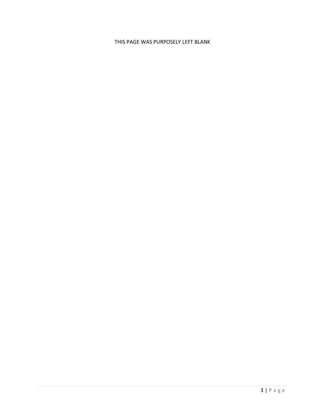#### THIS PAGE WAS PURPOSELY LEFT BLANK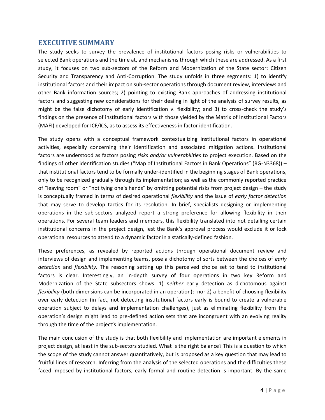### <span id="page-7-0"></span>**EXECUTIVE SUMMARY**

The study seeks to survey the prevalence of institutional factors posing risks or vulnerabilities to selected Bank operations and the time at, and mechanisms through which these are addressed. As a first study, it focuses on two sub-sectors of the Reform and Modernization of the State sector: Citizen Security and Transparency and Anti-Corruption. The study unfolds in three segments: 1) to identify institutional factors and their impact on sub-sector operations through document review, interviews and other Bank information sources; 2) pointing to existing Bank approaches of addressing institutional factors and suggesting new considerations for their dealing in light of the analysis of survey results, as might be the false dichotomy of early identification v. flexibility; and 3) to cross-check the study's findings on the presence of institutional factors with those yielded by the Matrix of Institutional Factors (MAFI) developed for ICF/ICS, as to assess its effectiveness in factor identification.

The study opens with a conceptual framework contextualizing institutional factors in operational activities, especially concerning their identification and associated mitigation actions. Institutional factors are understood as factors posing *risks and/or vulnerabilities* to project execution. Based on the findings of other identification studies ("Map of Institutional Factors in Bank Operations" (RG-N3368)) – that institutional factors tend to be formally under-identified in the beginning stages of Bank operations, only to be recognized gradually through its implementation; as well as the commonly reported practice of "leaving room" or "not tying one's hands" by omitting potential risks from project design – the study is conceptually framed in terms of desired operational *flexibility* and the issue of *early factor detection*  that may serve to develop tactics for its resolution*.* In brief, specialists designing or implementing operations in the sub-sectors analyzed report a strong preference for allowing flexibility in their operations. For several team leaders and members, this flexibility translated into not detailing certain institutional concerns in the project design, lest the Bank's approval process would exclude it or lock operational resources to attend to a dynamic factor in a statically-defined fashion.

These preferences, as revealed by reported actions through operational document review and interviews of design and implementing teams, pose a dichotomy of sorts between the choices of *early detection* and *flexibility*. The reasoning setting up this perceived choice set to tend to institutional factors is clear. Interestingly, an in-depth survey of four operations in two key Reform and Modernization of the State subsectors shows: 1) *neither* early detection as dichotomous against *flexibility* (both dimensions can be incorporated in an operation); nor 2) a benefit of choosing flexibility over early detection (in fact, not detecting institutional factors early is bound to create a vulnerable operation subject to delays and implementation challenges), just as eliminating flexibility from the operation's design might lead to pre-defined action sets that are incongruent with an evolving reality through the time of the project's implementation.

The main conclusion of the study is that both flexibility and implementation are important elements in project design, at least in the sub-sectors studied. What is the right balance? This is a question to which the scope of the study cannot answer quantitatively, but is proposed as a key question that may lead to fruitful lines of research. Inferring from the analysis of the selected operations and the difficulties these faced imposed by institutional factors, early formal and routine detection is important. By the same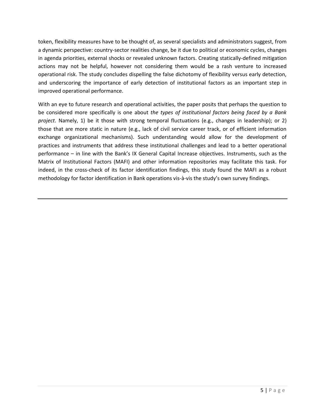token, flexibility measures have to be thought of, as several specialists and administrators suggest, from a dynamic perspective: country-sector realities change, be it due to political or economic cycles, changes in agenda priorities, external shocks or revealed unknown factors. Creating statically-defined mitigation actions may not be helpful, however not considering them would be a rash venture to increased operational risk. The study concludes dispelling the false dichotomy of flexibility versus early detection, and underscoring the importance of early detection of institutional factors as an important step in improved operational performance.

With an eye to future research and operational activities, the paper posits that perhaps the question to be considered more specifically is one about *the types of institutional factors being faced by a Bank project*. Namely, 1) be it those with strong temporal fluctuations (e.g., changes in leadership); or 2) those that are more static in nature (e.g., lack of civil service career track, or of efficient information exchange organizational mechanisms). Such understanding would allow for the development of practices and instruments that address these institutional challenges and lead to a better operational performance – in line with the Bank's IX General Capital Increase objectives. Instruments, such as the Matrix of Institutional Factors (MAFI) and other information repositories may facilitate this task. For indeed, in the cross-check of its factor identification findings, this study found the MAFI as a robust methodology for factor identification in Bank operations vis-à-vis the study's own survey findings.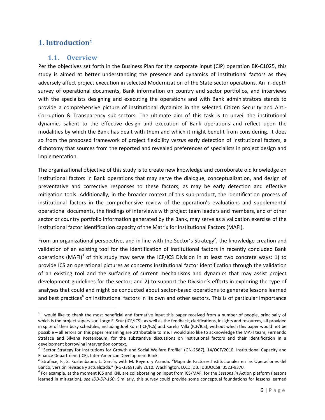## <span id="page-9-1"></span><span id="page-9-0"></span>**1. Introduction<sup>1</sup>**

 $\overline{\phantom{a}}$ 

#### **1.1. Overview**

Per the objectives set forth in the Business Plan for the corporate input (CIP) operation BK-C1025, this study is aimed at better understanding the presence and dynamics of institutional factors as they adversely affect project execution in selected Modernization of the State sector operations. An in-depth survey of operational documents, Bank information on country and sector portfolios, and interviews with the specialists designing and executing the operations and with Bank administrators stands to provide a comprehensive picture of institutional dynamics in the selected Citizen Security and Anti-Corruption & Transparency sub-sectors. The ultimate aim of this task is to unveil the institutional dynamics salient to the effective design and execution of Bank operations and reflect upon the modalities by which the Bank has dealt with them and which it might benefit from considering. It does so from the proposed framework of project flexibility *versus* early detection of institutional factors, a dichotomy that sources from the reported and revealed preferences of specialists in project design and implementation.

The organizational objective of this study is to create new knowledge and corroborate old knowledge on institutional factors in Bank operations that may serve the dialogue, conceptualization, and design of preventative and corrective responses to these factors; as may be early detection and effective mitigation tools. Additionally, in the broader context of this sub-product, the identification process of institutional factors in the comprehensive review of the operation's evaluations and supplemental operational documents, the findings of interviews with project team leaders and members, and of other sector or country portfolio information generated by the Bank, may serve as a validation exercise of the institutional factor identification capacity of the Matrix for Institutional Factors (MAFI).

From an organizational perspective, and in line with the Sector's Strategy<sup>2</sup>, the knowledge-creation and validation of an existing tool for the identification of institutional factors in recently concluded Bank operations (MAFI)<sup>3</sup> of this study may serve the ICF/ICS Division in at least two concrete ways: 1) to provide ICS an operational pictures as concerns institutional factor identification through the validation of an existing tool and the surfacing of current mechanisms and dynamics that may assist project development guidelines for the sector; and 2) to support the Division's efforts in exploring the type of analyses that could and might be conducted about sector-based operations to generate lessons learned and best practices<sup>4</sup> on institutional factors in its own and other sectors. This is of particular importance

 $1$  I would like to thank the most beneficial and formative input this paper received from a number of people, principally of which is the project supervisor, Jorge E. Srur (ICF/ICS), as well as the feedback, clarifications, insights and resources, all provided in spite of their busy schedules, including Joel Korn (ICF/ICS) and Karelia Villa (ICF/ICS), without which this paper would not be possible – all errors on this paper remaining are attributable to me. I would also like to acknowledge the MAFI team, Fernando Straface and Silvana Kostenbaum, for the substantive discussions on institutional factors and their identification in a development borrowing intervention context.

 $2$  "Sector Strategy for Institutions for Growth and Social Welfare Profile" (GN-2587), 14/OCT/2010. Institutional Capacity and Finance Department (ICF), Inter-American Development Bank.

<sup>&</sup>lt;sup>3</sup> Straface, F., S. Kostenbaum, L. García, with M. Reyero y Aranda. "Mapa de Factores Institucionales en las Operaciones del Banco, versión revisada y actualizada." (RG-3368) July 2010. Washington, D.C.: IDB. IDBDOCS#: 3523-9370.

<sup>4</sup> For example, at the moment ICS and KNL are collaborating on input from ICS/MAFI for the *Lessons in* Action platform (lessons learned in mitigation), *see IDB-DP-160*. Similarly, this survey could provide some conceptual foundations for lessons learned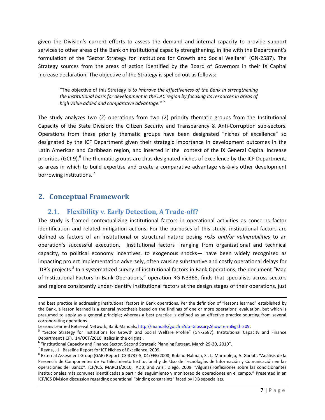given the Division's current efforts to assess the demand and internal capacity to provide support services to other areas of the Bank on institutional capacity strengthening, in line with the Department's formulation of the "Sector Strategy for Institutions for Growth and Social Welfare" (GN-2587). The Strategy sources from the areas of action identified by the Board of Governors in their IX Capital Increase declaration. The objective of the Strategy is spelled out as follows:

"The objective of this Strategy is *to improve the effectiveness of the Bank in strengthening the institutional basis for development in the LAC region by focusing its resources in areas of high value added and comparative advantage." <sup>5</sup>*

The study analyzes two (2) operations from two (2) priority thematic groups from the Institutional Capacity of the State Division: the Citizen Security and Transparency & Anti-Corruption sub-sectors. Operations from these priority thematic groups have been designated "niches of excellence" so designated by the ICF Department given their strategic importance in development outcomes in the Latin American and Caribbean region, and inserted in the context of the IX General Capital Increase priorities (GCI-9).<sup>6</sup> The thematic groups are thus designated niches of excellence by the ICF Department, as areas in which to build expertise and create a comparative advantage vis-à-vis other development borrowing institutions.<sup>7</sup>

## <span id="page-10-1"></span><span id="page-10-0"></span>**2. Conceptual Framework**

 $\overline{\phantom{a}}$ 

## **2.1. Flexibility v. Early Detection, A Trade-off?**

The study is framed contextualizing institutional factors in operational activities as concerns factor identification and related mitigation actions. For the purposes of this study, institutional factors are defined as factors of an institutional or structural nature posing *risks and/or vulnerabilities* to an operation's successful execution. Institutional factors –ranging from organizational and technical capacity, to political economy incentives, to exogenous shocks— have been widely recognized as impacting project implementation adversely, often causing substantive and costly operational delays for IDB's projects.<sup>8</sup> In a systematized survey of institutional factors in Bank Operations, the document "Map of Institutional Factors in Bank Operations," operation RG-N3368, finds that specialists across sectors and regions consistently under-identify institutional factors at the design stages of their operations, just

and best practice in addressing institutional factors in Bank operations. Per the definition of "lessons learned" established by the Bank, a lesson learned is a general hypothesis based on the findings of one or more operations' evaluation, but which is presumed to apply as a general principle; whereas a best practice is defined as an effective practice sourcing from several corroborating operations.

Lessons Learned Retrieval Network, Bank Manuals[: http://manuals/go.cfm?do=Glossary.ShowTerm&gid=309.](http://manuals/go.cfm?do=Glossary.ShowTerm&gid=309)

<sup>&</sup>lt;sup>5</sup> "Sector Strategy for Institutions for Growth and Social Welfare Profile" (GN-2587). Institutional Capacity and Finance Department (ICF). 14/OCT/2010. Italics in the original.

<sup>&</sup>lt;sup>6</sup> "Institutional Capacity and Finance Sector. Second Strategic Planning Retreat, March 29-30, 2010".

 $^7$  Reyna, J.J. Baseline Report for ICF Niches of Excellence, 2009.

<sup>&</sup>lt;sup>8</sup> External Assesment Group (GAE) Report. CS-3737-5, 04/FEB/2008; Rubino-Halman, S., L. Marmolejo, A. Garlati. "Análisis de la Presencia de Componentes de Fortalecimiento Institucional y de Uso de Tecnologías de Información y Comunicación en las operaciones del Banco". ICF/ICS. MARCH/2010. IADB; and Arisi, Diego. 2009. "Algunas Reflexiones sobre las condicionantes institucionales más comunes identificadas a partir del seguimiento y monitoreo de operaciones en el campo." Presented in an ICF/ICS Division discussion regarding operational "binding constraints" faced by IDB sepecialists.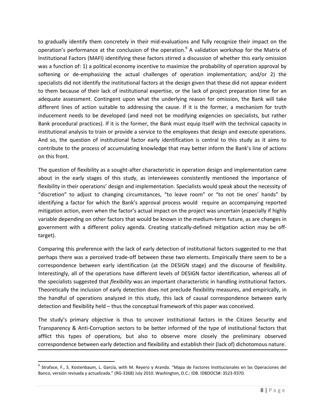to gradually identify them concretely in their mid-evaluations and fully recognize their impact on the operation's performance at the conclusion of the operation.<sup>9</sup> A validation workshop for the Matrix of Institutional Factors (MAFI) identifying these factors stirred a discussion of whether this early omission was a function of: 1) a political economy incentive to maximize the probability of operation approval by softening or de-emphasizing the actual challenges of operation implementation; and/or 2) the specialists did not identify the institutional factors at the design given that these did not appear evident to them because of their lack of institutional expertise, or the lack of project preparation time for an adequate assessment. Contingent upon what the underlying reason for omission, the Bank will take different lines of action suitable to addressing the cause. If it is the former, a mechanism for truth inducement needs to be developed (and need not be modifying exigencies on specialists, but rather Bank procedural practices). If it is the former, the Bank must equip itself with the technical capacity in institutional analysis to train or provide a service to the employees that design and execute operations. And so, the question of institutional factor early identification is central to this study as it aims to contribute to the process of accumulating knowledge that may better inform the Bank's line of actions on this front.

The question of flexibility as a sought-after characteristic in operation design and implementation came about in the early stages of this study, as interviewees consistently mentioned the importance of flexibility in their operations' design and implementation. Specialists would speak about the necessity of "discretion" to adjust to changing circumstances, "to leave room" or "to not tie ones' hands" by identifying a factor for which the Bank's approval process would require an accompanying reported mitigation action, even when the factor's actual impact on the project was uncertain (especially if highly variable depending on other factors that would be known in the medium-term future, as are changes in government with a different policy agenda. Creating statically-defined mitigation action may be offtarget).

Comparing this preference with the lack of early detection of institutional factors suggested to me that perhaps there was a perceived trade-off between these two elements. Empirically there seem to be a correspondence between early identification (at the DESIGN stage) and the discourse of flexibility. Interestingly, all of the operations have different levels of DESIGN factor identification, whereas all of the specialists suggested that *flexibility* was an important characteristic in handling institutional factors. Theoretically the inclusion of early detection does not preclude flexibility measures, and empirically, in the handful of operations analyzed in this study, this lack of causal correspondence between early detection and flexibility held – thus the conceptual framework of this paper was conceived.

The study's primary objective is thus to uncover institutional factors in the Citizen Security and Transparency & Anti-Corruption sectors to be better informed of the type of institutional factors that afflict this types of operations, but also to observe more closely the preliminary observed correspondence between early detection and flexibility and establish their (lack of) dichotomous nature.

l <sup>9</sup> Straface, F., S. Kostenbaum, L. García, with M. Reyero y Aranda. "Mapa de Factores Institucionales en las Operaciones del Banco, versión revisada y actualizada." (RG-3368) July 2010. Washington, D.C.: IDB. IDBDOCS#: 3523-9370.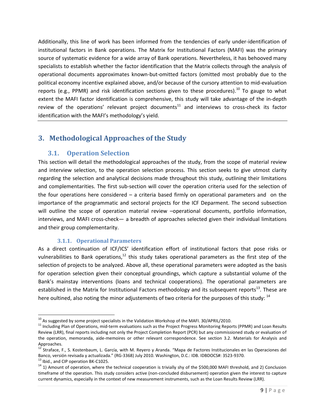Additionally, this line of work has been informed from the tendencies of early under-identification of institutional factors in Bank operations. The Matrix for Institutional Factors (MAFI) was the primary source of systematic evidence for a wide array of Bank operations. Nevertheless, it has behooved many specialists to establish whether the factor identification that the Matrix collects through the analysis of operational documents approximates known-but-omitted factors (omitted most probably due to the political economy incentive explained above, and/or because of the cursory attention to mid-evaluation reports (e.g., PPMR) and risk identification sections given to these procedures).<sup>10</sup> To gauge to what extent the MAFI factor identification is comprehensive, this study will take advantage of the in-depth review of the operations' relevant project documents<sup>11</sup> and interviews to cross-check its factor identification with the MAFI's methodology's yield.

## <span id="page-12-1"></span><span id="page-12-0"></span>**3. Methodological Approaches of the Study**

## **3.1. Operation Selection**

This section will detail the methodological approaches of the study, from the scope of material review and interview selection, to the operation selection process. This section seeks to give utmost clarity regarding the selection and analytical decisions made throughout this study, outlining their limitations and complementarities. The first sub-section will cover the operation criteria used for the selection of the four operations here considered – a criteria based firmly on operational parameters and on the importance of the programmatic and sectoral projects for the ICF Deparment. The second subsection will outline the scope of operation material review –operational documents, portfolio information, interviews, and MAFI cross-check— a breadth of approaches selected given their individual limitations and their group complementarity.

#### **3.1.1. Operational Parameters**

<span id="page-12-2"></span>As a direct continuation of ICF/ICS' identification effort of institutional factors that pose risks or vulnerabilities to Bank operations,<sup>12</sup> this study takes operational parameters as the first step of the selection of projects to be analyzed. Above all, these operational parameters were adopted as the basis for operation selection given their conceptual groundings, which capture a substantial volume of the Bank's mainstay interventions (loans and technical cooperations). The operational parameters are established in the Matrix for Institutional Factors methodology and its subsequent reports<sup>13</sup>. These are here oultined, also noting the minor adjustements of two criteria for the purposes of this study: <sup>14</sup>

 $\overline{\phantom{a}}$  $^{10}$  As suggested by some project specialists in the Validation Workshop of the MAFI. 30/APRIL/2010.

<sup>&</sup>lt;sup>11</sup> Including Plan of Operations, mid-term evaluations such as the Project Progress Monitoring Reports (PPMR) and Loan Results Review (LRR), final reports including not only the Project Completion Report (PCR) but any commissioned study or evaluation of the operation, memoranda, aide-memoires or other relevant correspondence. See section 3.2. Materials for Analysis and Approaches.

<sup>&</sup>lt;sup>12</sup> Straface, F., S. Kostenbaum, L. García, with M. Reyero y Aranda. "Mapa de Factores Institucionales en las Operaciones del Banco, versión revisada y actualizada." (RG-3368) July 2010. Washington, D.C.: IDB. IDBDOCS#: 3523-9370.

<sup>&</sup>lt;sup>13</sup> Ibid., and CIP operation BK-C1025.

 $14$  1) Amount of operation, where the technical cooperation is trivially shy of the \$500,000 MAFI threshold, and 2) Conclusion timeframe of the operation. This study considers active (non-concluded disbursement) operation given the interest to capture current dynamics, especially in the context of new measurement instruments, such as the Loan Results Review (LRR).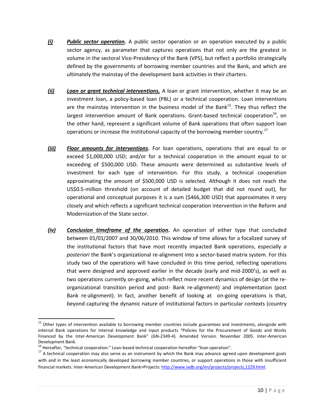- *(i) Public sector operation.* A public sector operation or an operation executed by a public sector agency, as parameter that captures operations that not only are the greatest in volume in the sectoral Vice-Presidency of the Bank (VPS), but reflect a portfolio strategically defined by the governments of borrowing member countries and the Bank, and which are ultimately the mainstay of the development bank activities in their charters.
- *(ii) Loan or grant technical interventions.* A loan or grant intervention, whether it may be an investment loan, a policy-based loan (PBL) or a technical cooperation. Loan interventions are the mainstay intervention in the business model of the Bank $^{15}$ . They thus reflect the largest intervention amount of Bank operations. Grant-based technical cooperation<sup>16</sup>, on the other hand, represent a significant volume of Bank operations that often support loan operations or increase the institutional capacity of the borrowing member country.<sup>17</sup>
- *(iii) Floor amounts for interventions***.** For loan operations, operations that are equal to or exceed \$1,000,000 USD; and/or for a technical cooperation in the amount equal to or exceeding of \$500,000 USD. These amounts were determined as substantive levels of investment for each type of intervention. For this study, a technical cooperation approximating the amount of \$500,000 USD is selected. Although it does not reach the US\$0.5-million threshold (on account of detailed budget that did not round out), for operational and conceptual purposes it is a sum (\$466,300 USD) that approximates it very closely and which reflects a significant technical cooperation intervention in the Reform and Modernization of the State sector.
- *(iv) Conclusion timeframe of the operation***.** An operation of either type that concluded between 01/01/2007 and 30/06/2010. This window of time allows for a focalized survey of the institutional factors that have most recently impacted Bank operations, especially *a posteriori* the Bank's organizational re-alignment into a sector-based matrix system. For this study two of the operations will have concluded in this time period, reflecting operations that were designed and approved earlier in the decade (early and mid-2000's), as well as two operations currently on-going, which reflect more recent dynamics of design (at the reorganizational transition period and post- Bank re-alignment) and implementation (post Bank re-alignment). In fact, another benefit of looking at on-going operations is that, beyond capturing the dynamic nature of institutional factors in particular contexts (country

 $\overline{\phantom{a}}$ 

<sup>&</sup>lt;sup>15</sup> Other types of intervention available to borrowing member countries include guarantees and investments, alongside with internal Bank operations for internal knowledge and input products "Policies for the Procurement of Goods and Works Financed by the Inter-American Development Bank" (GN-2349-4). Amended Version. November 2005. Inter-American Development Bank.

<sup>&</sup>lt;sup>16</sup> Hereafter, "technical cooperation." Loan-based technical cooperation hereafter "loan operation".

 $17$  A technical cooperation may also serve as an instrument by which the Bank may advance agreed upon development goals with and in the least economically developed borrowing member countries, or support operations in those with insufficient financial markets. Inter-American Development Bank>Projects[: http://www.iadb.org/en/projects/projects,1229.html.](http://www.iadb.org/en/projects/projects,1229.html)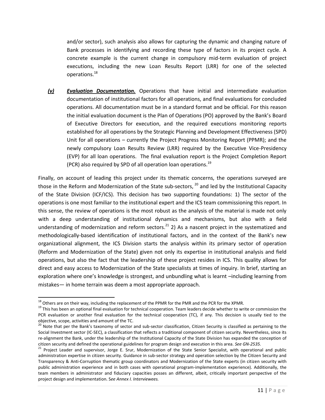and/or sector), such analysis also allows for capturing the dynamic and changing nature of Bank processes in identifying and recording these type of factors in its project cycle. A concrete example is the current change in compulsory mid-term evaluation of project executions, including the new Loan Results Report (LRR) for one of the selected operations.<sup>18</sup>

*(v) Evaluation Documentation.* Operations that have initial and intermediate evaluation documentation of institutional factors for all operations, and final evaluations for concluded operations. All documentation must be in a standard format and be official. For this reason the initial evaluation document is the Plan of Operations (PO) approved by the Bank's Board of Executive Directors for execution, and the required executions monitoring reports established for all operations by the Strategic Planning and Development Effectiveness (SPD) Unit for all operations – currently the Project Progress Monitoring Report (PPMR); and the newly compulsory Loan Results Review (LRR) required by the Executive Vice-Presidency (EVP) for all loan operations. The final evaluation report is the Project Completion Report (PCR) also required by SPD of all operation loan operations.<sup>19</sup>

Finally, on account of leading this project under its thematic concerns, the operations surveyed are those in the Reform and Modernization of the State sub-sectors,  $^{20}$  and led by the Institutional Capacity of the State Division (ICF/ICS). This decision has two supporting foundations: 1) The sector of the operations is one most familiar to the institutional expert and the ICS team commissioning this report. In this sense, the review of operations is the most robust as the analysis of the material is made not only with a deep understanding of institutional dynamics and mechanisms, but also with a field understanding of modernization and reform sectors.<sup>21</sup> 2) As a nascent project in the systematized and methodologically-based identification of institutional factors, and in the context of the Bank's new organizational alignment, the ICS Division starts the analysis within its primary sector of operation (Reform and Modernization of the State) given not only its expertise in institutional analysis and field operations, but also the fact that the leadership of these project resides in ICS. This quality allows for direct and easy access to Modernization of the State specialists at times of inquiry. In brief, starting an exploration where one's knowledge is strongest, and unbundling what is learnt –including learning from mistakes— in home terrain was deem a most appropriate approach.

 $\overline{\phantom{a}}$  $^{18}$  Others are on their way, including the replacement of the PPMR for the PMR and the PCR for the XPMR.

<sup>&</sup>lt;sup>19</sup> This has been an optional final evaluation for technical cooperation. Team leaders decide whether to write or commission the PCR evaluation or another final evaluation for the technical cooperation (TC), if any. This decision is usually tied to the objective, scope, activities and amount of the TC.

<sup>&</sup>lt;sup>20</sup> Note that per the Bank's taxonomy of sector and sub-sector classification, Citizen Security is classified as pertaining to the Social Investment sector (IC-SEC), a classification that reflects a traditional component of citizen security. Nevertheless, since its re-alignment the Bank, under the leadership of the Institutional Capacity of the State Division has expanded the conception of citizen security and defined the operational guidelines for program design and execution in this area. *See GN-2535.*

<sup>&</sup>lt;sup>21</sup> Project Leader and supervisor, Jorge E. Srur, Modernization of the State Senior Specialist, with operational and public administration expertise in citizen security. Guidance in sub-sector strategy and operation selection by the Citizen Security and Transparency & Anti-Corruption thematic group coordinators and Modernization of the State experts (in citizen security with public administration experience and in both cases with operational program-implementation experience). Additionally, the team members in administrator and fiduciary capacities posses an different, albeit, critically important perspective of the project design and implementation. S*ee Annex I. Interviewees.*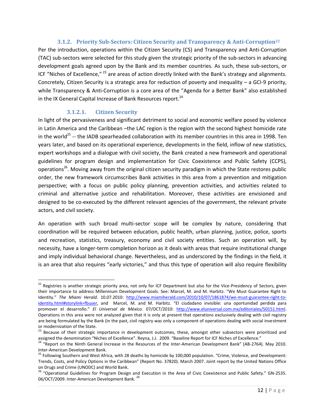<span id="page-15-0"></span>**3.1.2. Priority Sub-Sectors: Citizen Security and Transparency & Anti-Corruption<sup>22</sup>** Per the introduction, operations within the Citizen Security (CS) and Transparency and Anti-Corruption (TAC) sub-sectors were selected for this study given the strategic priority of the sub-sectors in advancing development goals agreed upon by the Bank and its member countries. As such, these sub-sectors, or ICF "Niches of Excellence," <sup>23</sup> are areas of action directly linked with the Bank's strategy and alignments. Concretely, Citizen Security is a strategic area for reduction of poverty and inequality – a GCI-9 priority, while Transparency & Anti-Corruption is a core area of the "Agenda for a Better Bank" also established in the IX General Capital Increase of Bank Resources report.<sup>24</sup>

#### **3.1.2.1. Citizen Security**

<span id="page-15-1"></span>In light of the pervasiveness and significant detriment to social and economic welfare posed by violence in Latin America and the Caribbean –the LAC region is the region with the second highest homicide rate in the world<sup>25</sup> -- the IADB spearheaded collaboration with its member countries in this area in 1998. Ten years later, and based on its operational experience, developments in the field, inflow of new statistics, expert workshops and a dialogue with civil society, the Bank created a new framework and operational guidelines for program design and implementation for Civic Coexistence and Public Safety (CCPS), operations<sup>26</sup>. Moving away from the original citizen security paradigm in which the State restores public order, the new framework circumscribes Bank activities in this area from a prevention and mitigation perspective; with a focus on public policy planning, prevention activities, and activities related to criminal and alternative justice and rehabilitation. Moreover, these activities are envisioned and designed to be co-executed by the different relevant agencies of the government, the relevant private actors, and civil society.

An operation with such broad multi-sector scope will be complex by nature, considering that coordination will be required between education, public health, urban planning, justice, police, sports and recreation, statistics, treasury, economy and civil society entities. Such an operation will, by necessity, have a longer-term completion horizon as it deals with areas that require institutional change and imply individual behavioral change. Nevertheless, and as underscored by the findings in the field, it is an area that also requires "early victories," and thus this type of operation will also require flexibility

l  $^{22}$  Registries is another strategic priority area, not only for ICF Department but also for the Vice-Presidency of Sectors, given their importance to address Millennium Development Goals. See: Marcel, M. and M. Harbitz. "We Must Guarantee Right to Identity." *The Miami Herald*. 10.07.2010: [http://www.miamiherald.com/2010/10/07/1861874/we-must-guarantee-right-to](http://www.miamiherald.com/2010/10/07/1861874/we-must-guarantee-right-to-identity.html#storylink=fbuser)[identity.html#storylink=fbuser,](http://www.miamiherald.com/2010/10/07/1861874/we-must-guarantee-right-to-identity.html#storylink=fbuser) and Marcel, M. and M. Harbitz. "El ciudadano invisible: una oportunidad perdida para promover el desarrollo." *El Universal de México*. 07/OCT/2010: [http://www.eluniversal.com.mx/editoriales/50151.html.](http://www.eluniversal.com.mx/editoriales/50151.html) Operations in this area were not analyzed given that it is only at present that operations exclusively dealing with civil registry are being formulated by the Bank (in the past, civil registry was only a component of operations dealing with social investment or modernization of the State.

<sup>&</sup>lt;sup>23</sup> Because of their strategic importance in development outcomes, these, amongst other subsectors were prioritized and assigned the denomination "Niches of Excellence". Reyna, J.J. 2009. "Baseline Report for ICF Niches of Excellence."

<sup>&</sup>lt;sup>24</sup> "Report on the Ninth General Increase in the Resources of the Inter-American Development Bank" (AB-2764). May 2010. Inter-American Development Bank.

<sup>&</sup>lt;sup>25</sup> Following Southern and West Africa, with 28 deaths by homicide by 100,000 population. "Crime, Violence, and Development: Trends, Costs, and Policy Options in the Caribbean" (Report No. 37820). March 2007. Joint report by the United Nations Office on Drugs and Crime (UNODC) and World Bank.

<sup>&</sup>lt;sup>26</sup> "Operational Guidelines for Program Design and Execution in the Area of Civic Coexistence and Public Safety." GN-2535. 06/OCT/2009. Inter-American Development Bank. *<sup>26</sup>*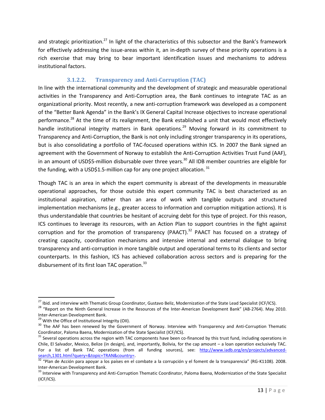and strategic prioritization.<sup>27</sup> In light of the characteristics of this subsector and the Bank's framework for effectively addressing the issue-areas within it, an in-depth survey of these priority operations is a rich exercise that may bring to bear important identification issues and mechanisms to address institutional factors.

#### **3.1.2.2. Transparency and Anti-Corruption (TAC)**

<span id="page-16-0"></span>In line with the international community and the development of strategic and measurable operational activities in the Transparency and Anti-Corruption area, the Bank continues to integrate TAC as an organizational priority. Most recently, a new anti-corruption framework was developed as a component of the "Better Bank Agenda" in the Bank's IX General Capital Increase objectives to increase operational performance.<sup>28</sup> At the time of its realignment, the Bank established a unit that would most effectively handle institutional integrity matters in Bank operations.<sup>29</sup> Moving forward in its commitment to Transparency and Anti-Corruption, the Bank is not only including stronger transparency in its operations, but is also consolidating a portfolio of TAC-focused operations within ICS. In 2007 the Bank signed an agreement with the Government of Norway to establish the Anti-Corruption Activities Trust Fund (AAF), in an amount of USD\$5-million disbursable over three years.<sup>30</sup> All IDB member countries are eligible for the funding, with a USD\$1.5-million cap for any one project allocation.  $31$ 

Though TAC is an area in which the expert community is abreast of the developments in measurable operational approaches, for those outside this expert community TAC is best characterized as an institutional aspiration, rather than an area of work with tangible outputs and structured implementation mechanisms (e.g., greater access to information and corruption mitigation actions). It is thus understandable that countries be hesitant of accruing debt for this type of project. For this reason, ICS continues to leverage its resources, with an Action Plan to support countries in the fight against corruption and for the promotion of transparency (PAACT).<sup>32</sup> PAACT has focused on a strategy of creating capacity, coordination mechanisms and intensive internal and external dialogue to bring transparency and anti-corruption in more tangible output and operational terms to its clients and sector counterparts. In this fashion, ICS has achieved collaboration across sectors and is preparing for the disbursement of its first loan TAC operation.<sup>33</sup>

 $\overline{\phantom{a}}$ <sup>27</sup> Ibid. and interview with Thematic Group Coordinator, Gustavo Beliz, Modernization of the State Lead Specialist (ICF/ICS).

<sup>&</sup>lt;sup>28</sup> "Report on the Ninth General Increase in the Resources of the Inter-American Development Bank" (AB-2764). May 2010. Inter-American Development Bank.

<sup>&</sup>lt;sup>29</sup> With the Office of Institutional Integrity (OII).

<sup>&</sup>lt;sup>30</sup> The AAF has been renewed by the Government of Norway. Interview with Transparency and Anti-Corruption Thematic Coordinator, Paloma Baena, Modernization of the State Specialist (ICF/ICS).

<sup>&</sup>lt;sup>31</sup> Several operations across the region with TAC components have been co-financed by this trust fund, including operations in Chile, El Salvador, Mexico, Belize (in design), and, importantly, Bolivia, for the cap amount – a loan operation exclusively TAC. For a list of Bank TAC operations (from all funding sources), see: [http://www.iadb.org/en/projects/advanced](http://www.iadb.org/en/projects/advanced-search,1301.html?query=&topic=TRAN&country=)[search,1301.html?query=&topic=TRAN&country=.](http://www.iadb.org/en/projects/advanced-search,1301.html?query=&topic=TRAN&country=) 

 $\frac{32}{2}$ "Plan de Acción para apoyar a los países en el combate a la corrupción y el foment de la transparencia" (RG-K1108). 2008. Inter-American Development Bank.

<sup>&</sup>lt;sup>33</sup> Interview with Transparency and Anti-Corruption Thematic Coordinator, Paloma Baena, Modernization of the State Specialist (ICF/ICS).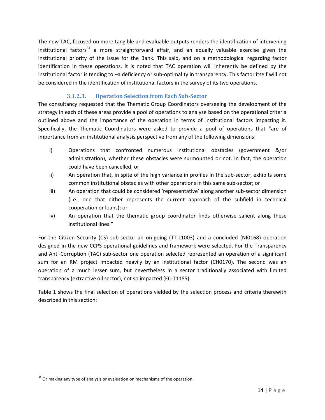The new TAC, focused on more tangible and evaluable outputs renders the identification of intervening institutional factors<sup>34</sup> a more straightforward affair, and an equally valuable exercise given the institutional priority of the issue for the Bank. This said, and on a methodological regarding factor identification in these operations, it is noted that TAC operation will inherently be defined by the institutional factor is tending to –a deficiency or sub-optimality in transparency. This factor itself will not be considered in the identification of institutional factors in the survey of its two operations.

#### **3.1.2.3. Operation Selection from Each Sub-Sector**

<span id="page-17-0"></span>The consultancy requested that the Thematic Group Coordinators overseeing the development of the strategy in each of these areas provide a pool of operations to analyze based on the operational criteria outlined above and the importance of the operation in terms of institutional factors impacting it. Specifically, the Thematic Coordinators were asked to provide a pool of operations that "are of importance from an institutional analysis perspective from any of the following dimensions:

- i) Operations that confronted numerous institutional obstacles (government &/or administration), whether these obstacles were surmounted or not. In fact, the operation could have been cancelled; or
- ii) An operation that, in spite of the high variance in profiles in the sub-sector, exhibits some common institutional obstacles with other operations in this same sub-sector; or
- iii) An operation that could be considered 'representative' along another sub-sector dimension (i.e., one that either represents the current approach of the subfield in technical cooperation or loans); or
- iv) An operation that the thematic group coordinator finds otherwise salient along these institutional lines."

For the Citizen Security (CS) sub-sector an on-going (TT-L1003) and a concluded (NI0168) operation designed in the new CCPS operational guidelines and framework were selected. For the Transparency and Anti-Corruption (TAC) sub-sector one operation selected represented an operation of a significant sum for an RM project impacted heavily by an institutional factor (CH0170). The second was an operation of a much lesser sum, but nevertheless in a sector traditionally associated with limited transparency (extractive oil sector), not so impacted (EC-T1185).

Table 1 shows the final selection of operations yielded by the selection process and criteria therewith described in this section:

 $\overline{a}$  $34$  Or making any type of analysis or evaluation on mechanisms of the operation.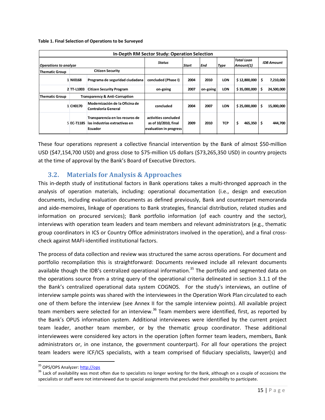#### **Table 1. Final Selection of Operations to be Surveyed**

|                              | In-Depth RM Sector Study: Operation Selection                                         |                                                                                    |                                                                        |       |          |             |                         |                   |  |  |
|------------------------------|---------------------------------------------------------------------------------------|------------------------------------------------------------------------------------|------------------------------------------------------------------------|-------|----------|-------------|-------------------------|-------------------|--|--|
| <b>Operations to analyze</b> |                                                                                       |                                                                                    | <b>Status</b>                                                          | Start | End      | <b>Type</b> | Total Loan<br>Amount(1) | <b>IDB Amount</b> |  |  |
| <b>Thematic Group</b>        |                                                                                       | <b>Citizen Security</b>                                                            |                                                                        |       |          |             |                         |                   |  |  |
|                              | 1 NI0168                                                                              | Programa de seguridad ciudadana                                                    | concluded (Phase I)                                                    | 2004  | 2010     | <b>LON</b>  | \$12,800,000            | 7,210,000<br>\$   |  |  |
|                              | $2$ TT-L1003<br><b>Citizen Security Program</b>                                       |                                                                                    | on-going                                                               | 2007  | on-going | <b>LON</b>  | \$35,000,000            | 24,500,000<br>s   |  |  |
| <b>Thematic Group</b>        | <b>Transparency &amp; Anti-Corruption</b>                                             |                                                                                    |                                                                        |       |          |             |                         |                   |  |  |
|                              | Modernización de la Oficina de<br>1 CH0170<br>concluded<br><b>Contraloría General</b> |                                                                                    |                                                                        | 2004  | 2007     | <b>LON</b>  | \$25,000,000            | \$<br>15,000,000  |  |  |
|                              | 5 EC-T1185                                                                            | Transparencia en los recuros de<br>las industrias extractivas en<br><b>Ecuador</b> | activities concluded<br>as of 10/2010, final<br>evaluation in progress | 2009  | 2010     | <b>TCP</b>  | \$<br>465,350           | \$<br>444,700     |  |  |

These four operations represent a collective financial intervention by the Bank of almost \$50-million USD (\$47,154,700 USD) and gross close to \$75-million US dollars (\$73,265,350 USD) in country projects at the time of approval by the Bank's Board of Executive Directors.

### **3.2. Materials for Analysis & Approaches**

<span id="page-18-0"></span>This in-depth study of institutional factors in Bank operations takes a multi-thronged approach in the analysis of operation materials, including: operational documentation (i.e., design and execution documents, including evaluation documents as defined previously, Bank and counterpart memoranda and aide-memoires, linkage of operations to Bank strategies, financial distribution, related studies and information on procured services); Bank portfolio information (of each country and the sector), interviews with operation team leaders and team members and relevant administrators (e.g., thematic group coordinators in ICS or Country Office administrators involved in the operation), and a final crosscheck against MAFI-identified institutional factors.

The process of data collection and review was structured the same across operations. For document and portfolio recompilation this is straightforward: Documents reviewed include all relevant documents available though the IDB's centralized operational information.<sup>35</sup> The portfolio and segmented data on the operations source from a string query of the operational criteria delineated in section 3.1.1 of the the Bank's centralized operational data system COGNOS. For the study's interviews, an outline of interview sample points was shared with the interviewees in the Operation Work Plan circulated to each one of them before the interview (see Annex II for the sample interview points). All available project team members were selected for an interview.<sup>36</sup> Team members were identified, first, as reported by the Bank's OPUS information system. Additional interviewees were identified by the current project team leader, another team member, or by the thematic group coordinator. These additional interviewees were considered key actors in the operation (often former team leaders, members, Bank administrators or, in one instance, the government counterpart). For all four operations the project team leaders were ICF/ICS specialists, with a team comprised of fiduciary specialists, lawyer(s) and

l

<sup>&</sup>lt;sup>35</sup> OPS/OPS Analyzer: **http://ops** 

<sup>&</sup>lt;sup>36</sup> Lack of availability was most often due to specialists no longer working for the Bank, although on a couple of occasions the specialists or staff were not interviewed due to special assignments that precluded their possibility to participate.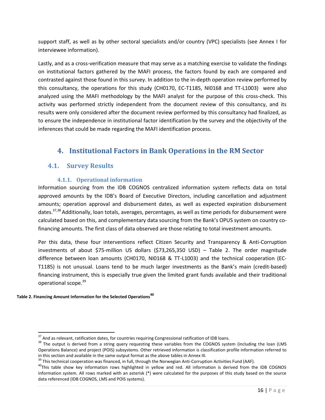support staff, as well as by other sectoral specialists and/or country (VPC) specialists (see Annex I for interviewee information).

Lastly, and as a cross-verification measure that may serve as a matching exercise to validate the findings on institutional factors gathered by the MAFI process, the factors found by each are compared and contrasted against those found in this survey. In addition to the in-depth operation review performed by this consultancy, the operations for this study (CH0170, EC-T1185, NI0168 and TT-L1003) were also analyzed using the MAFI methodology by the MAFI analyst for the purpose of this cross-check. This activity was performed strictly independent from the document review of this consultancy, and its results were only considered after the document review performed by this consultancy had finalized, as to ensure the independence in institutional factor identification by the survey and the objectivity of the inferences that could be made regarding the MAFI identification process.

## <span id="page-19-0"></span>**4. Institutional Factors in Bank Operations in the RM Sector**

## <span id="page-19-1"></span>**4.1. Survey Results**

#### **4.1.1. Operational information**

<span id="page-19-2"></span>Information sourcing from the IDB COGNOS centralized information system reflects data on total approved amounts by the IDB's Board of Executive Directors, including cancellation and adjustment amounts; operation approval and disbursement dates, as well as expected expiration disbursement dates.37,38 Additionally, loan totals, averages, percentages, as well as time periods for disbursement were calculated based on this, and complementary data sourcing from the Bank's OPUS system on country cofinancing amounts. The first class of data observed are those relating to total investment amounts.

Per this data, these four interventions reflect Citizen Security and Transparency & Anti-Corruption investments of about \$75-million US dollars (\$73,265,350 USD) – Table 2. The order magnitude difference between loan amounts (CH0170, NI0168 & TT-L1003) and the technical cooperation (EC-T1185) is not unusual. Loans tend to be much larger investments as the Bank's main (credit-based) financing instrument, this is especially true given the limited grant funds available and their traditional operational scope.<sup>39</sup>

#### **Table 2. Financing Amount Information for the Selected Operations<sup>40</sup>**

 $\overline{a}$ 

 $37$  And as relevant, ratification dates, for countries requiring Congressional ratification of IDB loans.

<sup>&</sup>lt;sup>38</sup> The output is derived from a string query requesting these variables from the COGNOS system (including the loan (LMS Operations Balance) and project (POIS) subsystems. Other retrieved information is classification profile information referred to in this section and available in the same output format as the above tables in Annex III.

<sup>&</sup>lt;sup>39</sup> This technical cooperation was financed, in full, through the Norwegian Anti-Corruption Activities Fund (AAF).

<sup>&</sup>lt;sup>40</sup>This table show key information rows highlighted in yellow and red. All information is derived from the IDB COGNOS information system. All rows marked with an asterisk (\*) were calculated for the purposes of this study based on the source data referenced (IDB COGNOS, LMS and POIS systems).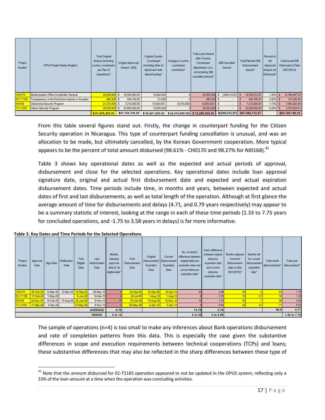| Project<br>Number | OPUS Project Name (English)                        | <b>Total Original</b><br>Amount (including<br>country counterpart,<br>per Plan of<br>Operations)* | Original Approved<br>Amount (IDB) | <b>Original Country</b><br>Counterpart<br>(including other bi-<br>lateral and multi-<br>lateral funding)* | Change in country<br>counterpart<br>contribution* | <b>Total Loan Amount</b><br>after Country<br>Counterpart<br>Adjustments (n.b.,<br>not including IDB<br>cancelled amount)* | <b>IDB Cancelled</b><br>Amount | <b>Total Planned IDB</b><br><b>Disbursement</b><br>Amount* | Percent of<br>the<br>Approved<br>Amount not<br>Disbursed* | <b>Total Actual IDB</b><br>Disbursed to Date<br>(NOV2010) |
|-------------------|----------------------------------------------------|---------------------------------------------------------------------------------------------------|-----------------------------------|-----------------------------------------------------------------------------------------------------------|---------------------------------------------------|---------------------------------------------------------------------------------------------------------------------------|--------------------------------|------------------------------------------------------------|-----------------------------------------------------------|-----------------------------------------------------------|
| <b>CH0170</b>     | Modernization Office Comptroller General           | $25,000,000$ \$                                                                                   | 15,000,000.00                     | 10,000,000                                                                                                |                                                   | 25,000,000                                                                                                                | $(209, 012.97)$ \$             | 15,209,012.97                                              | 1.39%                                                     | 14,790,987.03                                             |
| <b>EC-T1185</b>   | Transparency in the Extractive Industry in Ecuador | $466,300$ \$                                                                                      | 444,700.00                        | 21,600                                                                                                    |                                                   | 466,300                                                                                                                   |                                | 444,700.00                                                 | $0.00\%$                                                  | 147,000.00                                                |
| NI0168            | Citizenship Security Program                       | 21,210,000                                                                                        | $\mathbf{s}$<br>7,210,000.00      | 14,000,000                                                                                                | (8,410,000)                                       | 12,800,000                                                                                                                |                                | 7,210,000.00                                               | 1.73%                                                     | 7,085,262.69                                              |
| <b>TT-L1003</b>   | Citizen Security Program                           | $35,000,000$ \$                                                                                   | 24,500,000.00                     | 10,500,000                                                                                                |                                                   | 35,000,000                                                                                                                |                                | 24,500,000.00<br>- \$                                      | 0.00%                                                     | 3,702,938.51                                              |
|                   |                                                    | \$81,676,300.00                                                                                   | \$47,154,700.00                   | \$34,521,600.00                                                                                           | $$ (8,410,000.00)$ $$ 73,266,300.00$              |                                                                                                                           | \$(209, 012.97)                | \$47,363,712.97                                            |                                                           | \$25,726,188.23                                           |

From this table several figures stand out. Firstly, the change in counterpart funding for the Citizen Security operation in Nicaragua. This type of counterpart funding cancellation is unusual, and was an allocation to be made, but ultimately cancelled, by the Korean Government cooperation. More typical appears to be the percent of total amount disbursed (98.61% - CH0170 and 98.27% for NI0168).<sup>41</sup>

Table 3 shows key operational dates as well as the expected and actual periods of approval, disbursement and close for the selected operations. Key operational dates include loan approval signature date, original and actual first disbursement date and expected and actual expiration disbursement dates. Time periods include time, in months and years, between expected and actual dates of first and last disbursements, as well as total length of the operation. Although at first glance the average amount of time for disbursements and delays (4.71, and 0.79 years respectively) may appear to be a summary statistic of interest, looking at the range in each of these time periods (1.33 to 7.75 years for concluded operations, and -1.75 to 3.58 years in delays) is far more informative.

| Project<br>Number | Approval<br>Date | Sign Date | Ratification<br>Date | First<br>Eligible<br>Date | Last<br>Authorization<br>Date | <b>Months</b><br>between<br>approval<br>date & 1st<br>eligible date* | First<br><b>Disbursement</b><br>Date | Original<br>Disbursement Disbursement<br>Expiration<br>Date | Current<br>Expiration<br>Date | No. of months<br>difference between<br>original disburse<br>expiration date and<br>current disburse<br>expiration date* | Years difference<br>between original<br>disburse<br>expiration date<br>and current<br>disburse<br>expiration date* | Months elapsed<br>from first<br>disbursement<br>date to date<br>(NOV2010)* | Months left<br>for current<br>disbursement<br>expiration<br>date* | Total month<br>disbursements* | Total year<br>disbursement* |
|-------------------|------------------|-----------|----------------------|---------------------------|-------------------------------|----------------------------------------------------------------------|--------------------------------------|-------------------------------------------------------------|-------------------------------|-------------------------------------------------------------------------------------------------------------------------|--------------------------------------------------------------------------------------------------------------------|----------------------------------------------------------------------------|-------------------------------------------------------------------|-------------------------------|-----------------------------|
| <b>CH0170</b>     | 20-Feb-02        | 12-Mar-02 | 12-Mar-02            | 10-Sep-02                 | 28-May-10                     |                                                                      | 25-Sep-02                            | 12-Sep-06                                                   | 30-Apr-10                     | 43                                                                                                                      | 3.58                                                                                                               | 93                                                                         |                                                                   |                               | 7.75                        |
| <b>EC-T1185</b>   | 17-Feb-09        | 1-May-09  |                      | 3-Jun-09                  | 16-Apr-10                     |                                                                      | 20-Jul-09                            | 1-Aug-12                                                    | 1-Aug-12                      |                                                                                                                         | $-1.75$                                                                                                            |                                                                            | 21                                                                |                               | 1.33                        |
| NI0168            | 24-Nov-04        | 15-Feb-05 | 15-Aug-05            | $25 - Jan-06$             | 8-Nov-10                      | 14.                                                                  | 10-Feb-06                            | 15-Aug-09                                                   | 15-Dec-10                     |                                                                                                                         | 1.33                                                                                                               |                                                                            |                                                                   |                               | 3.83                        |
| TT-L1003          | 11-Mar-08        | 5-Apr-08  |                      | 12-May-08                 | 8-Nov-10                      |                                                                      | 29-May-08                            | $5 -$ Apr-14                                                | 5-Apr-14                      |                                                                                                                         | 0.00                                                                                                               | 30 <sup>°</sup>                                                            |                                                                   |                               | 5.92                        |
|                   |                  |           |                      | <b>AVERAGE</b>            | 6.75                          |                                                                      |                                      |                                                             | 14.75                         | 0.79                                                                                                                    |                                                                                                                    |                                                                            | 56.5                                                              | 4.71                          |                             |
|                   | <b>RANGE</b>     |           |                      |                           |                               | 2 to 14                                                              |                                      |                                                             |                               | 0 to 43                                                                                                                 | 0 to 3.58                                                                                                          |                                                                            |                                                                   |                               | 1.33 to 7.75                |

**Table 3. Key Dates and Time Periods for the Selected Operations**

 $\overline{\phantom{a}}$ 

The sample of operations (n=4) is too small to make any inferences about Bank operations disbursement and rate of completion patterns from this data. This is especially the case given the substantive differences in scope and execution requirements between technical cooperations (TCPs) and loans; these substantive differences that may also be reflected in the sharp differences between these type of

 $^{41}$  Note that the amount disbursed for EC-T1185 operation appeared to not be updated in the OPUS system, reflecting only a 33% of the loan amount at a time when the operation was concluding activities.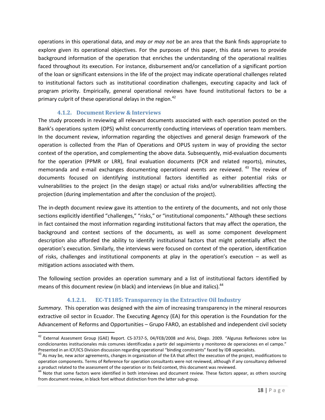operations in this operational data, and *may or may not* be an area that the Bank finds appropriate to explore given its operational objectives. For the purposes of this paper, this data serves to provide background information of the operation that enriches the understanding of the operational realities faced throughout its execution. For instance, disbursement and/or cancellation of a significant portion of the loan or significant extensions in the life of the project may indicate operational challenges related to institutional factors such as institutional coordination challenges, executing capacity and lack of program priority. Empirically, general operational reviews have found institutional factors to be a primary culprit of these operational delays in the region.<sup>42</sup>

#### **4.1.2. Document Review & Interviews**

 $\overline{a}$ 

<span id="page-21-0"></span>The study proceeds in reviewing all relevant documents associated with each operation posted on the Bank's operations system (OPS) whilst concurrently conducting interviews of operation team members. In the document review, information regarding the objectives and general design framework of the operation is collected from the Plan of Operations and OPUS system in way of providing the sector context of the operation, and complementing the above data. Subsequently, mid-evaluation documents for the operation (PPMR or LRR), final evaluation documents (PCR and related reports), minutes, memoranda and e-mail exchanges documenting operational events are reviewed.<sup>43</sup> The review of documents focused on identifying institutional factors identified as either potential risks or vulnerabilities to the project (in the design stage) or actual risks and/or vulnerabilities affecting the projection (during implementation and after the conclusion of the project).

The in-depth document review gave its attention to the entirety of the documents, and not only those sections explicitly identified "challenges," "risks," or "institutional components." Although these sections in fact contained the most information regarding institutional factors that may affect the operation, the background and context sections of the documents, as well as some component development description also afforded the ability to identify institutional factors that might potentially affect the operation's execution. Similarly, the interviews were focused on context of the operation, identification of risks, challenges and institutional components at play in the operation's execution  $-$  as well as mitigation actions associated with them.

The following section provides an operation summary and a list of institutional factors identified by means of this document review (in black) and interviews (in blue and italics).<sup>44</sup>

#### **4.1.2.1. EC-T1185: Transparency in the Extractive Oil Industry**

<span id="page-21-1"></span>*Summary.* This operation was designed with the aim of increasing transparency in the mineral resources extractive oil sector in Ecuador. The Executing Agency (EA) for this operation is the Foundation for the Advancement of Reforms and Opportunities – Grupo FARO, an established and independent civil society

<sup>&</sup>lt;sup>42</sup> External Assesment Group (GAE) Report. CS-3737-5, 04/FEB/2008 and Arisi, Diego. 2009. "Algunas Reflexiones sobre las condicionantes institucionales más comunes identificadas a partir del seguimiento y monitoreo de operaciones en el campo." Presented in an ICF/ICS Division discussion regarding operational "binding constraints" faced by IDB sepecialists.

<sup>&</sup>lt;sup>43</sup> As may be, new actor agreements, changes in organization of the EA that affect the execution of the project, modifications to operation components. Terms of Reference for operation consultants were not reviewed, although if any consultancy delivered a product related to the assessment of the operation or its field context, this document was reviewed.

<sup>&</sup>lt;sup>44</sup> Note that some factors were identified in both interviews and document review. These factors appear, as others sourcing from document review, in black font without distinction from the latter sub-group.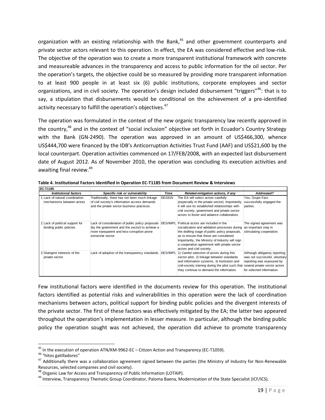organization with an existing relationship with the Bank,<sup>45</sup> and other government counterparts and private sector actors relevant to this operation. In effect, the EA was considered effective and low-risk. The objective of the operation was to create a more transparent institutional framework with concrete and measureable advances in the transparency and access to public information for the oil sector. Per the operation's targets, the objective could be so measured by providing more transparent information to at least 900 people in at least six (6) public institutions, corporate employees and sector organizations, and in civil society. The operation's design included disbursement "triggers"<sup>46</sup>: that is to say, a stipulation that disbursements would be conditional on the achievement of a pre-identified activity necessary to fulfill the operation's objectives.<sup>47</sup>

The operation was formulated in the context of the new organic transparency law recently approved in the country,<sup>48</sup> and in the context of "social inclusion" objective set forth in Ecuador's Country Strategy with the Bank (GN-2490). The operation was approved in an amount of US\$466,300, whence US\$444,700 were financed by the IDB's Anticorruption Activities Trust Fund (AAF) and US\$21,600 by the local counterpart. Operation activities commenced on 17/FEB/2008, with an expected last disbursement date of August 2012. As of November 2010, the operation was concluding its execution activities and awaiting final review.<sup>49</sup>

| <b>EC-T1185</b> |                                                            |                                                                                                                                                                         |                 |                                                                                                                                                                                                                                                                                                                   |                                                                                                                                                           |
|-----------------|------------------------------------------------------------|-------------------------------------------------------------------------------------------------------------------------------------------------------------------------|-----------------|-------------------------------------------------------------------------------------------------------------------------------------------------------------------------------------------------------------------------------------------------------------------------------------------------------------------|-----------------------------------------------------------------------------------------------------------------------------------------------------------|
|                 | <b>Institutional factors</b>                               | Specific risk or vulnerability                                                                                                                                          | Time            | Related-mitigation actions, if any                                                                                                                                                                                                                                                                                | Addressed?                                                                                                                                                |
|                 | Lack of natural coordination<br>mechanisms between actors  | Traditionally, there has not been much linkage<br>of civil society's information access demands<br>and the private sector business practices.                           | <b>DESIGN</b>   | The EA will select actors carefully<br>(especially in the private sector). Importantly,<br>it will use its established relationships with<br>civil society, government and private sector<br>actors to foster and advance collaboration.                                                                          | Yes, Grupo Faro<br>successfully engaged the<br>parties.                                                                                                   |
|                 | 2 Lack of political support for<br>binding public policies | Lack of consideration of public policy proposals<br>(by the government and the sector) to achieve a<br>more transparent and less-corruption prone<br>extractive sector. | <b>DES/IMPL</b> | Political actors are included in the<br>socialization and validation processes during<br>the drafting stage of public policy proposals,<br>as to ensure that these are considered.<br>Importantly, the Ministry of Industry will sign<br>a cooperation agreement with private sector<br>actors and civil society. | The signed agreement was<br>an important step in<br>stimulating cooperation.                                                                              |
|                 | 3 Divergent interests of the<br>private sector             | Lack of adoption of the transparency standards.                                                                                                                         | <b>DES/IMPL</b> | 1) Careful selection of actors during this<br>sector pilot, 2) linkage between standards<br>and information systems; 3) Institution and<br>civil-society training during the pilot such that<br>they continue to demand the information.                                                                          | Although obligatory reporting<br>was not successful, voluntary<br>reporting was espoused by<br>several private sector actors<br>for selected information. |

**Table 4. Institutional Factors Identified in Operation EC-T1185 from Document Review & Interviews**

Few institutional factors were identified in the documents review for this operation. The institutional factors identified as potential risks and vulnerabilities in this operation were the lack of coordination mechanisms between actors, political support for binding public policies and the divergent interests of the private sector. The first of these factors was effectively mitigated by the EA; the latter two appeared throughout the operation's implementation in lesser measure. In particular, although the binding public policy the operation sought was not achieved, the operation did achieve to promote transparency

 $\overline{\phantom{a}}$ 

 $^{45}$  In the execution of operation ATN/KM-9962-EC – Citizen Action and Transparency (EC-T1059).

<sup>46</sup> "hitos gatilladores"

<sup>&</sup>lt;sup>47</sup> Additionally there was a collaboration agreement signed between the parties (the Ministry of Industry for Non-Renewable Resources, selected companies and civil society).

<sup>&</sup>lt;sup>48</sup> Organic Law for Access and Transparency of Public Information (LOTAIP).

<sup>&</sup>lt;sup>49</sup> Interview, Transparency Thematic Group Coordinator, Paloma Baena, Modernization of the State Specialist (ICF/ICS).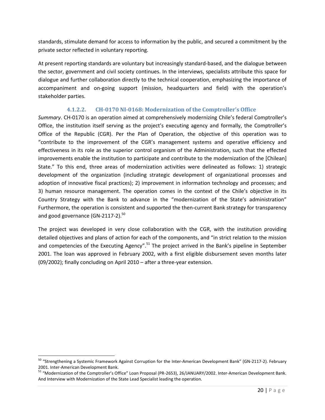standards, stimulate demand for access to information by the public, and secured a commitment by the private sector reflected in voluntary reporting.

At present reporting standards are voluntary but increasingly standard-based, and the dialogue between the sector, government and civil society continues. In the interviews, specialists attribute this space for dialogue and further collaboration directly to the technical cooperation, emphasizing the importance of accompaniment and on-going support (mission, headquarters and field) with the operation's stakeholder parties.

#### **4.1.2.2. CH-0170 NI-0168: Modernization of the Comptroller's Office**

<span id="page-23-0"></span>*Summary*. CH-0170 is an operation aimed at comprehensively modernizing Chile's federal Comptroller's Office, the institution itself serving as the project's executing agency and formally, the Comptroller's Office of the Republic (CGR). Per the Plan of Operation, the objective of this operation was to "contribute to the improvement of the CGR's management systems and operative efficiency and effectiveness in its role as the superior control organism of the Administration, such that the effected improvements enable the institution to participate and contribute to the modernization of the [Chilean] State." To this end, three areas of modernization activities were delineated as follows: 1) strategic development of the organization (including strategic development of organizational processes and adoption of innovative fiscal practices); 2) improvement in information technology and processes; and 3) human resource management. The operation comes in the context of the Chile's objective in its Country Strategy with the Bank to advance in the "modernization of the State's administration" Furthermore, the operation is consistent and supported the then-current Bank strategy for transparency and good governance (GN-2117-2).<sup>50</sup>

The project was developed in very close collaboration with the CGR, with the institution providing detailed objectives and plans of action for each of the components, and "in strict relation to the mission and competencies of the Executing Agency".<sup>51</sup> The project arrived in the Bank's pipeline in September 2001. The loan was approved in February 2002, with a first eligible disbursement seven months later (09/2002); finally concluding on April 2010 – after a three-year extension.

 $\overline{a}$ 

<sup>&</sup>lt;sup>50</sup> "Strengthening a Systemic Framework Against Corruption for the Inter-American Development Bank" (GN-2117-2). February 2001. Inter-American Development Bank.

<sup>&</sup>lt;sup>51</sup> "Modernization of the Comptroller's Office" Loan Proposal (PR-2653), 26/JANUARY/2002. Inter-American Development Bank. And Interview with Modernization of the State Lead Specialist leading the operation.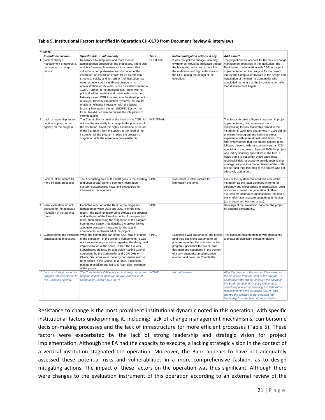|                | CH-0170                                                                                      |                                                                                                                                                                                                                                                                                                                                                                                                                                                                                                                                                                                                                                                                                                                                                                                                                                                          |                  |                                                                                                                                                                                                                                               |                                                                                                                                                                                                                                                                                                                                                                                                                                                                                                                                                                                                                                                                                                                                                                           |
|----------------|----------------------------------------------------------------------------------------------|----------------------------------------------------------------------------------------------------------------------------------------------------------------------------------------------------------------------------------------------------------------------------------------------------------------------------------------------------------------------------------------------------------------------------------------------------------------------------------------------------------------------------------------------------------------------------------------------------------------------------------------------------------------------------------------------------------------------------------------------------------------------------------------------------------------------------------------------------------|------------------|-----------------------------------------------------------------------------------------------------------------------------------------------------------------------------------------------------------------------------------------------|---------------------------------------------------------------------------------------------------------------------------------------------------------------------------------------------------------------------------------------------------------------------------------------------------------------------------------------------------------------------------------------------------------------------------------------------------------------------------------------------------------------------------------------------------------------------------------------------------------------------------------------------------------------------------------------------------------------------------------------------------------------------------|
|                | Institutional factors                                                                        | Specific risk or vulnerability                                                                                                                                                                                                                                                                                                                                                                                                                                                                                                                                                                                                                                                                                                                                                                                                                           | <b>Time</b>      | Related-mitigation actions, if any                                                                                                                                                                                                            | Addressed?                                                                                                                                                                                                                                                                                                                                                                                                                                                                                                                                                                                                                                                                                                                                                                |
|                | Lack of change<br>management structures &<br>resistance to change<br>culture.                | Resistance to adopt new and more modern<br>administration procedures and processes. There was<br>a highly foreseeable resistance to a project that<br>called for a comprehensive transformation of the<br>institution; an institution known for its hierarchical<br>structure, rigidity and formalism (the institution had<br>never experienced a significant change in its<br>administration for 75 years, since its establishment in<br>1927). Further, in the municipalities, there was no<br>political will to create a work relationship with the<br>federally-based CGR to advance in the development of<br>municipal financial information systems that would<br>enable an effective integration with the federal<br>financial information system (SIGFE). Lastly, the<br>Executive did not want to pursue the integration of<br>internal audits. | <b>DES/FINAL</b> | It was thought the change-unfriendly<br>environment would be mitigated through<br>the leadership and commitment from<br>the mid-ranks and high authorities of<br>the CGR during the design of the<br>operation.                               | The project did not account for the lack of change<br>management practices in the institution. The<br>Bank based collaboration with CGR for project<br>implementation on the support for the project<br>lent by the Comptroller involved in the design and<br>negotiation of the loan - a Comptroller who<br>concluded his tenure at the institution soon after<br>loan disbursement began.                                                                                                                                                                                                                                                                                                                                                                               |
| $\overline{c}$ | Lack of leadership and/or<br>political support in the<br>agency for the program              | The Comptroller instated at the head of the CGR did<br>not see the necessity for change in the practices of<br>the institution. Given the highly hierarchical structure<br>of the institution, lack of support at the head of the<br>institution for the program implied the program's<br>stagnation until the arrival of a new leadership.                                                                                                                                                                                                                                                                                                                                                                                                                                                                                                              | IMPL/FINAL       |                                                                                                                                                                                                                                               | This factor dictated a 5-year stagnation in project<br>implementation, until a new and more<br>modernizing-friendly leadership arrived in the<br>institution in 2007 (the one arriving in 2002 did not<br>prioritize the program and had no previous<br>experience with international institutions). The<br>final review states that the project needed to be<br>followed closely, with transparency and an ICS<br>specialist in the project. Up until 2006 the project<br>was led by fiduciary specialists in the field. It<br>notes that it is not within these specialists'<br>responsibilities. or scope to provide technical or<br>strategic support to a modernization of the state<br>project, and thus this area of the project was not<br>effectively addressed. |
| 3              | Lack of infrastructure for<br>more efficient processes.                                      | The Accounting area of the CGR (versus the Auditing FINAL<br>and Legal areas) lacks a common information<br>system, systematized flows and procedures for<br>information management.                                                                                                                                                                                                                                                                                                                                                                                                                                                                                                                                                                                                                                                                     |                  | Investment in infrastructure for<br>information systems.                                                                                                                                                                                      | Lack of this system rendered this area of the<br>institution as the least achieving in terms of<br>efficiency and effectiveness modernization. Loan<br>resources covered the generation of other<br>systems for information management that had a<br>basic information system supporting its design<br>(as in Legal and Auditing areas).                                                                                                                                                                                                                                                                                                                                                                                                                                  |
| 4              | Bank evaluation did not<br>account for the adequate<br>mitigation of institutional<br>risks. | Ineffective reaction of the Bank to the program's<br>detraction between 2002 and 2007. Per the final<br>report, "the Bank endeavored to evaluate the progress<br>and fulfillment of the formal aspects of the operation"<br>rather than addressing the stagnation of the program<br>from its root cause. Additionally, the project lacked<br>adequate evaluation measures for the actual<br>components implemented of the project.                                                                                                                                                                                                                                                                                                                                                                                                                       | <b>FINAL</b>     |                                                                                                                                                                                                                                               | Redesign of the evaluation model for the project<br>by external consultancy.                                                                                                                                                                                                                                                                                                                                                                                                                                                                                                                                                                                                                                                                                              |
| 5              | Cumbersome and inefficient<br>organizational processes                                       | While the operational part of the CGR was in charge<br>of the execution of the project's components, it was<br>not involved in any decisions regarding the design and<br>implementation of the same. In fact, the EA was<br>subordinated de facto by a decision-making Council<br>comprised by the Comptroller and CGR Division<br>Chiefs. Decisions were made by consensus (with up<br>to 9 people in the Council at a time), a decision-<br>making procedure that led to a "very slow" execution<br>of the program.                                                                                                                                                                                                                                                                                                                                    | <b>FINAL</b>     | (and thus decisions assumed to be<br>positive regarding the execution of the<br>program), given that the project was<br>designed and negotiated in the context<br>of a very supportive, modernization-<br>oriented and proactive Comptroller. | Leadership was assumed for the project This decision-making process was maintained<br>and caused significant execution delays.                                                                                                                                                                                                                                                                                                                                                                                                                                                                                                                                                                                                                                            |
|                | 6 Lack of strategic vision for<br>program implementation for<br>the Executing Agency.        | The Comptroller's Office lacked a strategic vision for<br>program implementation for the five-year tenure of<br>Comptroller Sciolla (2002-2007).                                                                                                                                                                                                                                                                                                                                                                                                                                                                                                                                                                                                                                                                                                         | <b>INTVW</b>     | No, unforeseen.                                                                                                                                                                                                                               | After the change of the second Comptroller in<br>the institution from the start of the program -- a<br>Comptroller who did not prioritize the operation--<br>the Bank, through its Country Office staff,<br>proactively worked on renewing a collaborative<br>relationship with the institution (2007). This<br>allowed the program to be executed with<br>leadership from the head of the institution.                                                                                                                                                                                                                                                                                                                                                                   |

#### **Table 5. Institutional Factors Identified in Operation CH-0170 from Document Review & Interviews**

Resistance to change is the most prominent institutional dynamic noted in this operation, with specific institutional factors underpinning it, including: lack of change management mechanisms, cumbersome decision-making processes and the lack of infrastructure for more efficient processes (Table 5). These factors were exacerbated by the lack of strong leadership and strategic vision for project implementation. Although the EA had the capacity to execute, a lacking strategic vision in the context of a vertical institution stagnated the operation. Moreover, the Bank appears to have not adequately assessed these potential risks and vulnerabilities in a more comprehensive fashion, as to design mitigating actions. The impact of these factors on the operation was thus significant. Although there were changes to the evaluation instrument of this operation according to an external review of the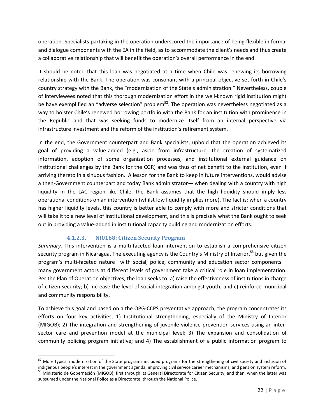operation. Specialists partaking in the operation underscored the importance of being flexible in formal and dialogue components with the EA in the field, as to accommodate the client's needs and thus create a collaborative relationship that will benefit the operation's overall performance in the end.

It should be noted that this loan was negotiated at a time when Chile was renewing its borrowing relationship with the Bank. The operation was consonant with a principal objective set forth in Chile's country strategy with the Bank, the "modernization of the State's administration." Nevertheless, couple of interviewees noted that this thorough modernization effort in the well-known rigid institution might be have exemplified an "adverse selection" problem<sup>52</sup>. The operation was nevertheless negotiated as a way to bolster Chile's renewed borrowing portfolio with the Bank for an institution with prominence in the Republic and that was seeking funds to modernize itself from an internal perspective via infrastructure investment and the reform of the institution's retirement system.

In the end, the Government counterpart and Bank specialists, uphold that the operation achieved its goal of providing a value-added (e.g., aside from infrastructure, the creation of systematized information, adoption of some organization processes, and institutional external guidance on institutional challenges by the Bank for the CGR) and was thus of net benefit to the institution, even if arriving thereto in a sinuous fashion. A lesson for the Bank to keep in future interventions, would advise a then-Government counterpart and today Bank administrator— when dealing with a country with high liquidity in the LAC region like Chile, the Bank assumes that the high liquidity should imply less operational conditions on an intervention (whilst low liquidity implies more). The fact is: when a country has higher liquidity levels, this country is better able to comply with more and stricter conditions that will take it to a new level of institutional development, and this is precisely what the Bank ought to seek out in providing a value-added in institutional capacity building and modernization efforts.

#### **4.1.2.3. NI0168: Citizen Security Program**

 $\overline{a}$ 

<span id="page-25-0"></span>*Summary.* This intervention is a multi-faceted loan intervention to establish a comprehensive citizen security program in Nicaragua. The executing agency is the Country's Ministry of Interior,<sup>53</sup> but given the program's multi-faceted nature –with social, police, community and education sector components many government actors at different levels of government take a critical role in loan implementation. Per the Plan of Operation objectives, the loan seeks to: a) raise the effectiveness of institutions in charge of citizen security; b) increase the level of social integration amongst youth; and c) reinforce municipal and community responsibility.

To achieve this goal and based on a the OPG-CCPS preventative approach, the program concentrates its efforts on four key activities, 1) Institutional strengthening, especially of the Ministry of Interior (MIGOB); 2) The integration and strengthening of juvenile violence prevention services using an intersector care and prevention model at the municipal level; 3) The expansion and consolidation of community policing program initiative; and 4) The establishment of a public information program to

 $52$  More typical modernization of the State programs included programs for the strengthening of civil society and inclusion of indigenous people's interest in the government agenda; improving civil service career mechanisms, and pension system reform. <sup>53</sup> Ministerio de Gobernación (MIGOB), first through its General Directorate for Citizen Security, and then, when the latter was subsumed under the National Police as a Directorate, through the National Police.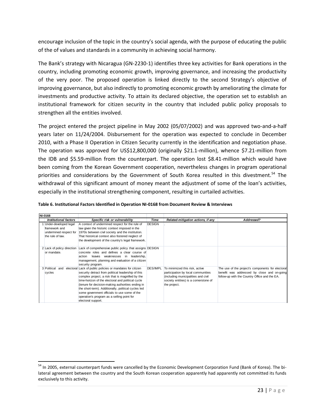encourage inclusion of the topic in the country's social agenda, with the purpose of educating the public of the of values and standards in a community in achieving social harmony.

The Bank's strategy with Nicaragua (GN-2230-1) identifies three key activities for Bank operations in the country, including promoting economic growth, improving governance, and increasing the productivity of the very poor. The proposed operation is linked directly to the second Strategy's objective of improving governance, but also indirectly to promoting economic growth by ameliorating the climate for investments and productive activity. To attain its declared objective, the operation set to establish an institutional framework for citizen security in the country that included public policy proposals to strengthen all the entities involved.

The project entered the project pipeline in May 2002 (05/07/2002) and was approved two-and-a-half years later on 11/24/2004. Disbursement for the operation was expected to conclude in December 2010, with a Phase II Operation in Citizen Security currently in the identification and negotiation phase. The operation was approved for US\$12,800,000 (originally \$21.1-million), whence \$7.21-million from the IDB and \$5.59-million from the counterpart. The operation lost \$8.41-million which would have been coming from the Korean Government cooperation, nevertheless changes in program operational priorities and considerations by the Government of South Korea resulted in this divestment.<sup>54</sup> The withdrawal of this significant amount of money meant the adjustment of some of the loan's activities, especially in the institutional strengthening component, resulting in curtailed activities.

| NI-0168                                                                              |                                                                                                                                                                                                                                                                                                                                                                                                                                                              |                 |                                                                                                                                                                      |                                                                                                                                                   |  |
|--------------------------------------------------------------------------------------|--------------------------------------------------------------------------------------------------------------------------------------------------------------------------------------------------------------------------------------------------------------------------------------------------------------------------------------------------------------------------------------------------------------------------------------------------------------|-----------------|----------------------------------------------------------------------------------------------------------------------------------------------------------------------|---------------------------------------------------------------------------------------------------------------------------------------------------|--|
| <b>Institutional factors</b>                                                         | Specific risk or vulnerability                                                                                                                                                                                                                                                                                                                                                                                                                               | Time            | Related-mitigation actions, if any                                                                                                                                   | Addressed?                                                                                                                                        |  |
| Under-developed legal<br>framework and<br>undermined respect for<br>the rule of law. | A context of undermined respect for the rule of<br>law given the historic context imposed in the<br>1970s between civil society and the institution.<br>That historical context also fostered neglect of<br>the development of the country's legal framework.                                                                                                                                                                                                | <b>DESIGN</b>   |                                                                                                                                                                      |                                                                                                                                                   |  |
| 2 Lack of policy direction<br>or mandate.                                            | Lack of comprehensive public policy that assigns DESIGN<br>concrete roles and defines a clear course of<br>leaves weaknesses in leadership,<br>action<br>management, planning and evaluation of a citizen<br>security program.                                                                                                                                                                                                                               |                 |                                                                                                                                                                      |                                                                                                                                                   |  |
| 3 Political<br>cycles                                                                | and electoral Lack of public policies or mandates for citizen<br>security detract from political leadership of this<br>complex project, a risk that is magnified by the<br>time-horizon of the electoral and political cycle<br>(tenure for decision-making authorities ending in<br>the short-term). Additionally, political cycles led<br>some government officials to use some of the<br>operation's program as a selling point for<br>electoral support. | <b>DES/IMPL</b> | To minimized this risk, active<br>participation by local communities<br>(including municipalities and civil<br>society entities) is a cornerstone of<br>the project. | The use of the project's components for electoral<br>benefit was addressed by close and on-going<br>follow-up with the Country Office and the EA. |  |

**Table 6. Institutional Factors Identified in Operation NI-0168 from Document Review & Interviews** 

l

<sup>&</sup>lt;sup>54</sup> In 2005, external counterpart funds were cancelled by the Economic Development Corporation Fund (Bank of Korea). The bilateral agreement between the country and the South Korean cooperation apparently had apparently not committed its funds exclusively to this activity.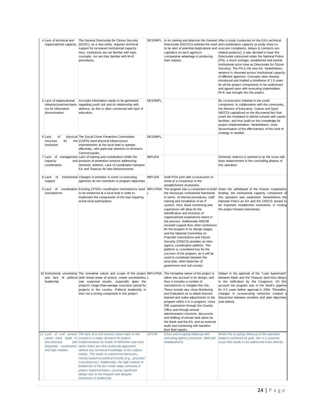| 4 Lack of technical and                                                                     | The General Directorate for Citizen Security<br>organizational capacity. (DGSC), as a new entity, requires technical<br>support for increased institutional capacity.<br>Also, institutions are not familiar with topic<br>concepts, nor are they familiar with M+E<br>procedures.                                                                                                                                                                                                                                                                                                                                                           | DES/IMPL              | capitalize on each agency's<br>comparative advantage in producing<br>their outputs.                                                                                                                                                                                                                                                                                                                                                                                                                                                                                                                                                                                                                                                 | In its training and direction the General After a study conducted on the EA's technical<br>Directorate (DGCSC) outlined the need and coordination capacity (a study show co-<br>to be alert of potential duplications and executor complaints, delays & contracts w/o<br>related products), it was decided to have this<br>Directorate subsumed under the National Police<br>(PN), a much stronger, established and neutral<br>institutional actor (now as Directorate for Citizen<br>Security). The PN is the new EA. Nevertheless,<br>variance is observed across institutional capacity<br>of different agencies. Concepts were slowing<br>introduced and implied a timeframe of 1.5 years<br>for all the project components to be understood<br>and agreed upon with executing stakeholders.<br>M+E was brought into the project. |
|---------------------------------------------------------------------------------------------|----------------------------------------------------------------------------------------------------------------------------------------------------------------------------------------------------------------------------------------------------------------------------------------------------------------------------------------------------------------------------------------------------------------------------------------------------------------------------------------------------------------------------------------------------------------------------------------------------------------------------------------------|-----------------------|-------------------------------------------------------------------------------------------------------------------------------------------------------------------------------------------------------------------------------------------------------------------------------------------------------------------------------------------------------------------------------------------------------------------------------------------------------------------------------------------------------------------------------------------------------------------------------------------------------------------------------------------------------------------------------------------------------------------------------------|---------------------------------------------------------------------------------------------------------------------------------------------------------------------------------------------------------------------------------------------------------------------------------------------------------------------------------------------------------------------------------------------------------------------------------------------------------------------------------------------------------------------------------------------------------------------------------------------------------------------------------------------------------------------------------------------------------------------------------------------------------------------------------------------------------------------------------------|
| 5 Lack of organizational<br>infrastructure/mechanis<br>ms for information<br>dissemination. | Accurate information needs to be generated<br>regarding youth risk and its relationship with<br>violence, as this is often connected with lack of<br>education.                                                                                                                                                                                                                                                                                                                                                                                                                                                                              | DES/IMPL              |                                                                                                                                                                                                                                                                                                                                                                                                                                                                                                                                                                                                                                                                                                                                     | By co-executors initiative in the youth<br>component. In collaboration with the community,<br>the Ministry of Education, Culture and Sport<br>(MECD) capitalized on the discovered fact that<br>youth are motivated to attend schools with sports<br>facilities, and thus build on this knowledge for<br>project implementation. Nevertheless, more<br>dissemination of the effectiveness of this kind of<br>strategy is needed.                                                                                                                                                                                                                                                                                                                                                                                                      |
| 6 Lack<br>of<br>structure<br>for<br>institution                                             | physical The Social Crime Prevention Committees<br>the (CSPD) need physical infrastructure<br>improvements at the local level to operate<br>effectively, with particular attention to Women's<br>Commissariats.                                                                                                                                                                                                                                                                                                                                                                                                                              | DES/IMPL              |                                                                                                                                                                                                                                                                                                                                                                                                                                                                                                                                                                                                                                                                                                                                     |                                                                                                                                                                                                                                                                                                                                                                                                                                                                                                                                                                                                                                                                                                                                                                                                                                       |
| 7 Lack of<br>capacity<br>coordination.                                                      | management Lack of training and coordination inhibit the<br>and provision of prevention services addressing<br>domestic violence. Lack of coordination between<br>EA and Treasury for loan disbursements.                                                                                                                                                                                                                                                                                                                                                                                                                                    | <b>IMPLEM</b>         |                                                                                                                                                                                                                                                                                                                                                                                                                                                                                                                                                                                                                                                                                                                                     | Domestic violence is pointed to as the issue with<br>least advancement in the concluding phases of<br>this operation.                                                                                                                                                                                                                                                                                                                                                                                                                                                                                                                                                                                                                                                                                                                 |
| 8 Lack<br>of<br>support                                                                     | institutional Changes in priorities in some co-executing<br>agencies do not contribute to program objectives.                                                                                                                                                                                                                                                                                                                                                                                                                                                                                                                                | <b>IMPLEM</b>         | Draft POA joint with co-executors to<br>arrive at a consensus in the<br>establishment of priorities.                                                                                                                                                                                                                                                                                                                                                                                                                                                                                                                                                                                                                                |                                                                                                                                                                                                                                                                                                                                                                                                                                                                                                                                                                                                                                                                                                                                                                                                                                       |
| 9 Lack<br>of<br>mechanisms                                                                  | coordination Existing CPSD's coordination mechanisms need<br>to be enhanced at a local level in order to<br>implement the components of the loan requiring<br>active local participation.                                                                                                                                                                                                                                                                                                                                                                                                                                                    | <b>IMPL/FINA</b><br>L | the necessary institutional framework<br>in terms of internal procedures, staff<br>training and installation of an IT<br>system. Also, Bank monitoring and<br>supervision will allow for the<br>identification and inclusion of<br>organizational experiences learnt in<br>the process. Additionally MIGOB<br>received support from other institutions<br>for the program in its design stages,<br>and the National Committee on<br>Peaceful Coexistence and Citizen<br>Security (CNSCS) provides an inter-<br>agency coordination platform. This<br>platform is considered key for the<br>success of the program, as it will be<br>used to coordinate between the<br>executive, other branches of<br>government and civil society. | The program has a component to build Given the withdrawal of the Korean cooperation<br>funding, the institutional capacity component of<br>this operation was weakened. Nevertheless the<br>National Police as EA and the CNSCS proved to<br>be important established institutions in moving<br>the project forward (interviews).                                                                                                                                                                                                                                                                                                                                                                                                                                                                                                     |
| leadership                                                                                  | and lack of political (with broad areas of action), create uncertainties L<br>over expected results, especially given the<br>project's longer-than-average execution period for<br>projects in the country. Political leadership is<br>thus not a strong component in this project.                                                                                                                                                                                                                                                                                                                                                          |                       | taken into account in its design, and<br>thus it includes a number of<br>mechanisms to mitigate this risk.<br>These include very close Monitoring<br>and Evaluation as to obtain lessons<br>learned and make adjustments to the<br>program whilst it is in progress; close<br><b>IDB</b> supervision through the Country<br>Office and through annual<br>administration missions; discussion<br>and drafting of annual work plans by<br>the Bank and the EA; and an external<br>audit and monitoring with baseline<br>from field reports.                                                                                                                                                                                           | 10 Institutional uncertainty The innovative nature and scope of the project IMPL/FINA The innovative nature of the project is Delays in the approval of the "Loan Agreement"<br>between Bank and the Treasury (and thus delays<br>in the ratification by the Congress). On this<br>account the program was in the Bank's pipeline<br>for 2.5 years before approval in 2004. Thereafter,<br>changes in co-executing ministries created a<br>disjunction between activities and plan objectives<br>(see below).                                                                                                                                                                                                                                                                                                                         |
| 11 Lack<br>Оf<br>civil<br>discretionary<br>and high rotation.                               | service The lack of a civil service career track in the<br>career track leads to country is a major obstacle for project<br>and implementation as heads of Ministries and units<br>disjointed coordination within these are often politically appointed<br>without any technical knowledge of the subject<br>matter. This leads to uninformed decisions,<br>mostly based on political kinship (e.g., procured<br>consultancies). Additionally, the high rotation in<br>leadership of the EA steals away continuity in<br>project implementation, causing significant<br>delays due to the frequent and delayed<br>transitions in leadership. | <b>INTVW</b>          | Close and on-going follow-up with<br>executing agency (missions, field and<br>headquarters).                                                                                                                                                                                                                                                                                                                                                                                                                                                                                                                                                                                                                                        | Whilst the on-going follow-up of the operation<br>helped it achieved its goal, this is a systemic<br>issue that needs to be addressed more directly.                                                                                                                                                                                                                                                                                                                                                                                                                                                                                                                                                                                                                                                                                  |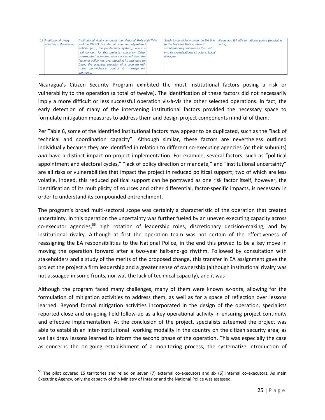| 12 Institutional rivalry | Institutional rivalry amongst the National Police INTVW | Study to consider moving the EA title    | Re-assign EA title to national police (reputable |
|--------------------------|---------------------------------------------------------|------------------------------------------|--------------------------------------------------|
| affected collaboration   | and the DGSG, but also of other security-related        | to the National Police, while it         | actor).                                          |
|                          | entities (e.g., the penitentiary system), where a       | simultaneously subsumes this unit        |                                                  |
|                          | real concern for this project's execution. Other        | into its organizational structure. Local |                                                  |
|                          | co-executed agencies also concerned that the            | dialoque.                                |                                                  |
|                          | National policy was over-stepping its mandate by        |                                          |                                                  |
|                          | being the principal executor of a program with          |                                          |                                                  |
|                          | many non-violence control & management                  |                                          |                                                  |
|                          | elements.                                               |                                          |                                                  |

Nicaragua's Citizen Security Program exhibited the most institutional factors posing a risk or vulnerability to the operation (a total of twelve). The identification of these factors did not necessarily imply a more difficult or less successful operation vis-à-vis the other selected operations. In fact, the early detection of many of the intervening institutional factors provided the necessary space to formulate mitigation measures to address them and design project components mindful of them.

Per Table 6, some of the identified institutional factors may appear to be duplicated, such as the "lack of technical and coordination capacity". Although similar, these factors are nevertheless outlined individually because they are identified in relation to different co-executing agencies (or their subunits) *and* have a distinct impact on project implementation. For example, several factors, such as "political appointment and electoral cycles," "lack of policy direction or mandate," and "institutional uncertainty" are all risks or vulnerabilities that impact the project in reduced political support; two of which are less volatile. Indeed, this reduced political support can be portrayed as one risk factor itself, however, the identification of its multiplicity of sources and other differential, factor-specific impacts, is necessary in order to understand its compounded entrenchment.

The program's broad multi-sectoral scope was certainly a characteristic of the operation that created uncertainty. In this operation the uncertainty was further fueled by an uneven executing capacity across co-executor agencies,<sup>55</sup> high rotation of leadership roles, discretionary decision-making, and by institutional rivalry. Although at first the operation team was not certain of the effectiveness of reassigning the EA responsibilities to the National Police, in the end this proved to be a key move in moving the operation forward after a two-year halt-and-go rhythm. Followed by consultation with stakeholders and a study of the merits of the proposed change, this transfer in EA assignment gave the project the project a firm leadership and a greater sense of ownership (although institutional rivalry was not assuaged in some fronts, nor was the lack of technical capacity), and it was

Although the program faced many challenges, many of them were known *ex-ante,* allowing for the formulation of mitigation activities to address them, as well as for a space of reflection over lessons learned. Beyond formal mitigation activities incorporated in the design of the operation, specialists reported close and on-going field follow-up as a key operational activity in ensuring project continuity and effective implementation. At the conclusion of the project, specialists esteemed the project was able to establish an inter-institutional working modality in the country on the citizen security area; as well as draw lessons learned to inform the second phase of the operation. This was especially the case as concerns the on-going establishment of a monitoring process, the systematize introduction of

 $\overline{\phantom{a}}$ 

<sup>&</sup>lt;sup>55</sup> The pilot covered 15 territories and relied on seven (7) external co-executors and six (6) internal co-executors. As main Executing Agency, only the capacity of the Ministry of Interior and the National Police was assessed.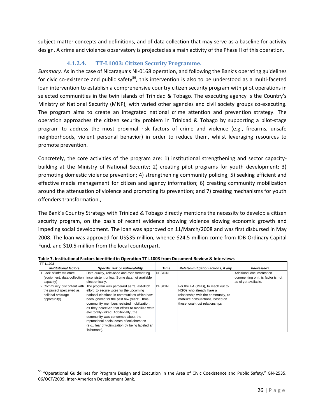subject-matter concepts and definitions, and of data collection that may serve as a baseline for activity design. A crime and violence observatory is projected as a main activity of the Phase II of this operation.

#### **4.1.2.4. TT-L1003: Citizen Security Programme.**

<span id="page-29-0"></span>*Summary.* As in the case of Nicaragua's NI-0168 operation, and following the Bank's operating guidelines for civic co-existence and public safety<sup>56</sup>, this intervention is also to be understood as a multi-faceted loan intervention to establish a comprehensive country citizen security program with pilot operations in selected communities in the twin islands of Trinidad & Tobago. The executing agency is the Country's Ministry of National Security (MNP), with varied other agencies and civil society groups co-executing. The program aims to create an integrated national crime attention and prevention strategy. The operation approaches the citizen security problem in Trinidad & Tobago by supporting a pilot-stage program to address the most proximal risk factors of crime and violence (e.g., firearms, unsafe neighborhoods, violent personal behavior) in order to reduce them, whilst leveraging resources to promote prevention.

Concretely, the core activities of the program are: 1) institutional strengthening and sector capacitybuilding at the Ministry of National Security; 2) creating pilot programs for youth development; 3) promoting domestic violence prevention; 4) strengthening community policing; 5) seeking efficient and effective media management for citizen and agency information; 6) creating community mobilization around the attenuation of violence and promoting its prevention; and 7) creating mechanisms for youth offenders transformation.,

The Bank's Country Strategy with Trinidad & Tobago directly mentions the necessity to develop a citizen security program, on the basis of recent evidence showing violence slowing economic growth and impeding social development. The loan was approved on 11/March/2008 and was first disbursed in May 2008. The loan was approved for US\$35-million, whence \$24.5-million come from IDB Ordinary Capital Fund, and \$10.5-million from the local counterpart.

| <b>Institutional factors</b> | Specific risk or vulnerability                   | Time          | Related-mitigation actions, if any  | Addressed?                       |
|------------------------------|--------------------------------------------------|---------------|-------------------------------------|----------------------------------|
| Lack of infrastructure       | Data quality, relevance and even formatting      | <b>DESIGN</b> |                                     | Additional documentation         |
| (equipment, data collection  | inconsistent or low. Some data not available     |               |                                     | commenting on this factor is not |
| capacity)                    | electronically.                                  |               |                                     | as of yet available.             |
| 2 Community discontent with  | The program was perceived as "a last-ditch       | <b>DESIGN</b> | For the EA (MNS), to reach out to   |                                  |
| the project (perceived as    | effort to secure votes for the upcoming          |               | NGOs who already have a             |                                  |
| political arbitrage          | national elections in communities which have     |               | relationship with the community, to |                                  |
| opportunity)                 | been ignored for the past few years". Thus       |               | mobilize consultations, based on    |                                  |
|                              | community members resisted mobilization,         |               | those local-trust relationships     |                                  |
|                              | as they perceived that efforts to mobilize were  |               |                                     |                                  |
|                              | electorally-linked. Additionally, the            |               |                                     |                                  |
|                              | community was concerned about the                |               |                                     |                                  |
|                              | reputational social costs of collaboration       |               |                                     |                                  |
|                              | (e.g., fear of victimization by being labeled an |               |                                     |                                  |
|                              | 'informant').                                    |               |                                     |                                  |

#### **Table 7. Institutional Factors Identified in Operation TT-L1003 from Document Review & Interviews TT-L1003**

 $\overline{\phantom{a}}$ 

<sup>56</sup> "Operational Guidelines for Program Design and Execution in the Area of Civic Coexistence and Public Safety." GN-2535. 06/OCT/2009. Inter-American Development Bank.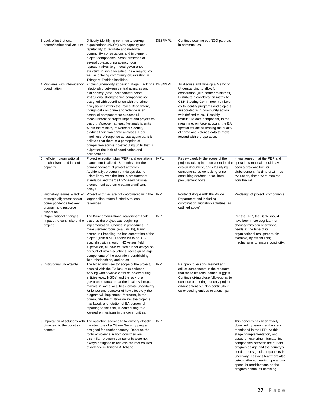| 3 Lack of institutional<br>actors/institutional vacuum                                                                      | Difficulty identifying community-serving<br>organizations (NGOs) with capacity and                                                                                                                                                                                                                                                                                                                                                                                                                                                                                                                                                                                                                                                                                              | DES/IMPL    | Continue seeking out NGO partners<br>in communities.                                                                                                                                                                                                                                                                                                                                                                                                                                     |                                                                                                                                                                                                                                                                                                                                                                                                                         |
|-----------------------------------------------------------------------------------------------------------------------------|---------------------------------------------------------------------------------------------------------------------------------------------------------------------------------------------------------------------------------------------------------------------------------------------------------------------------------------------------------------------------------------------------------------------------------------------------------------------------------------------------------------------------------------------------------------------------------------------------------------------------------------------------------------------------------------------------------------------------------------------------------------------------------|-------------|------------------------------------------------------------------------------------------------------------------------------------------------------------------------------------------------------------------------------------------------------------------------------------------------------------------------------------------------------------------------------------------------------------------------------------------------------------------------------------------|-------------------------------------------------------------------------------------------------------------------------------------------------------------------------------------------------------------------------------------------------------------------------------------------------------------------------------------------------------------------------------------------------------------------------|
|                                                                                                                             | reputability to facilitate and mobilize<br>community consultations and implement<br>project components. Scant presence of<br>several co-executing agency local<br>representatives (e.g., local governance<br>structure in some localities, as a mayor); as<br>well as differing community organization in<br>Tobago v. Trinidad localities.                                                                                                                                                                                                                                                                                                                                                                                                                                     |             |                                                                                                                                                                                                                                                                                                                                                                                                                                                                                          |                                                                                                                                                                                                                                                                                                                                                                                                                         |
| 4 Problems with inter-agency<br>coordination                                                                                | Known vulnerability at design stage. Lack of a DES/IMPL<br>relationship between central agencies and<br>civil society (never collaborated before).<br>Institutional strengthening component not<br>designed with coordination with the crime<br>analysis unit within the Police Department,<br>though data on crime and violence is an<br>essential component for successful<br>measurement of project impact and project re-<br>design. Moreover, at least five analytic units<br>within the Ministry of National Security<br>produce their own crime analyses. Poor<br>timeliness of response across agencies. It is<br>believed that there is a perception of<br>competition across co-executing units that is<br>culprit for the lack of coordination and<br>collaboration. |             | To discuss and develop a Memo of<br>Understanding to allow for<br>cooperation (with partner ministries).<br>Distribute a collaboration matrix to<br>CSP Steering Committee members<br>as to identify programs and projects<br>associated with community action<br>with defined roles. Possibly<br>restructure data component, in the<br>meantime, on force account, the EA<br>specialists are assessing the quality<br>of crime and violence data to move<br>forward with the operation. |                                                                                                                                                                                                                                                                                                                                                                                                                         |
| 5 Inefficient organizational<br>mechanisms and lack of<br>capacity                                                          | Project execution plan (PEP) and operations<br>manual not finalized 18 months after the<br>commencement of project activities.<br>Additionally, procurement delays due to<br>unfamiliarity with the Bank's procurement<br>standards and the 'ceiling'-based national<br>procurement system creating significant<br>delays.                                                                                                                                                                                                                                                                                                                                                                                                                                                      | <b>IMPL</b> | Review carefully the scope of the<br>projects taking into consideration the operations manual should have<br>design document, and classifying<br>components as consulting or non-<br>consulting services to facilitate<br>procurement flows.                                                                                                                                                                                                                                             | It was agreed that the PEP and<br>been a pre-condition for<br>disbursement. At time of 18-mos<br>evaluation, these were required<br>from the EA.                                                                                                                                                                                                                                                                        |
| 6 Budgetary issues & lack of<br>strategic alignment and/or<br>correspondence between<br>program and resource<br>allocation. | Project activities are not coordinated with the IMPL<br>larger police reform funded with local<br>resources.                                                                                                                                                                                                                                                                                                                                                                                                                                                                                                                                                                                                                                                                    |             | Foster dialogue with the Police<br>Department and including<br>coordination mitigation activities (as<br>outlined above).                                                                                                                                                                                                                                                                                                                                                                | Re-design of project components.                                                                                                                                                                                                                                                                                                                                                                                        |
| 7 Organizational changes<br>impact the continuity of the<br>project                                                         | The Bank organizational realignment took<br>place as the project was beginning<br>implementation. Change in procedures, in<br>measurement focus (evaluability), Bank<br>sector unit handling the implementation of the<br>project (from a SPH specialist to an ICS<br>specialist with a logic), HQ versus field<br>supervision, all have caused further delays on<br>account of new evaluations, redesign of large<br>components of the operation, establishing<br>field relationships, and so on.                                                                                                                                                                                                                                                                              | <b>IMPL</b> |                                                                                                                                                                                                                                                                                                                                                                                                                                                                                          | Per the LRR, the Bank should<br>have been more cognizant of<br>change/transition operational<br>needs at the time of its<br>organizational realignment, for<br>example, by establishing<br>mechanisms to ensure continuity.                                                                                                                                                                                             |
| 8 Institutional uncertainty                                                                                                 | The broad multi-sector scope of the project,<br>coupled with the EA lack of experience<br>working with a whole class of co-executing<br>entities (e.g., NGOs) and the lack of a<br>governance structure at the local level (e.g.,<br>mayors in some localities), create uncertainty<br>for lender and borrower of how effectively the<br>program will implement. Moreover, in the<br>community the multiple delays the projects<br>has faced, and rotation of EA personnel<br>reporting to the field, is contributing to a<br>lowered enthusiasm in the communities.                                                                                                                                                                                                            | <b>IMPL</b> | Be open to lessons learned and<br>adjust components in the measure<br>that these lessons learned suggest.<br>Continue giving close follow-up as to<br>continue promoting not only project<br>advancement but also continuity in<br>co-executing entities relationships.                                                                                                                                                                                                                  |                                                                                                                                                                                                                                                                                                                                                                                                                         |
| 9 Importation of solutions with<br>disregard to the country-<br>context.                                                    | The operation seemed to follow very closely<br>the structure of a Citizen Security program<br>designed for another country. Because the<br>roots of violence in both countries are<br>dissimilar, program components were not<br>always designed to address the root causes<br>of violence in Trinidad & Tobago.                                                                                                                                                                                                                                                                                                                                                                                                                                                                | <b>IMPL</b> |                                                                                                                                                                                                                                                                                                                                                                                                                                                                                          | This concern has been widely<br>observed by team members and<br>mentioned in the LRR. At this<br>stage of implementation, and<br>based on exploring mismatching<br>components between the current<br>program design and the country's<br>needs, redesign of components is<br>underway. Lessons learnt are also<br>being gathered, leaving operational<br>space for modifications as the<br>program continues unfolding. |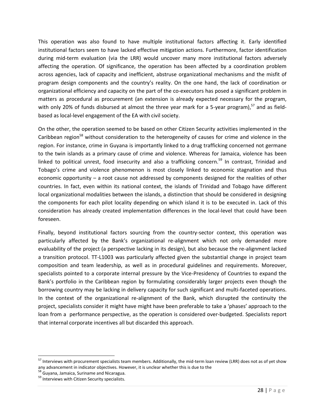This operation was also found to have multiple institutional factors affecting it. Early identified institutional factors seem to have lacked effective mitigation actions. Furthermore, factor identification during mid-term evaluation (via the LRR) would uncover many more institutional factors adversely affecting the operation. Of significance, the operation has been affected by a coordination problem across agencies, lack of capacity and inefficient, abstruse organizational mechanisms and the misfit of program design components and the country's reality. On the one hand, the lack of coordination or organizational efficiency and capacity on the part of the co-executors has posed a significant problem in matters as procedural as procurement (an extension is already expected necessary for the program, with only 20% of funds disbursed at almost the three year mark for a 5-year program),<sup>57</sup> and as fieldbased as local-level engagement of the EA with civil society.

On the other, the operation seemed to be based on other Citizen Security activities implemented in the Caribbean region<sup>58</sup> without consideration to the heterogeneity of causes for crime and violence in the region. For instance, crime in Guyana is importantly linked to a drug trafficking concerned not germane to the twin islands as a primary cause of crime and violence. Whereas for Jamaica, violence has been linked to political unrest, food insecurity and also a trafficking concern.<sup>59</sup> In contrast, Trinidad and Tobago's crime and violence phenomenon is most closely linked to economic stagnation and thus economic opportunity – a root cause not addressed by components designed for the realities of other countries. In fact, even within its national context, the islands of Trinidad and Tobago have different local organizational modalities between the islands, a distinction that should be considered in designing the components for each pilot locality depending on which island it is to be executed in. Lack of this consideration has already created implementation differences in the local-level that could have been foreseen.

Finally, beyond institutional factors sourcing from the country-sector context, this operation was particularly affected by the Bank's organizational re-alignment which not only demanded more evaluability of the project (a perspective lacking in its design), but also because the re-alignment lacked a transition protocol. TT-L1003 was particularly affected given the substantial change in project team composition and team leadership, as well as in procedural guidelines and requirements. Moreover, specialists pointed to a corporate internal pressure by the Vice-Presidency of Countries to expand the Bank's portfolio in the Caribbean region by formulating considerably larger projects even though the borrowing country may be lacking in delivery capacity for such significant and multi-faceted operations. In the context of the organizational re-alignment of the Bank, which disrupted the continuity the project, specialists consider it might have might have been preferable to take a 'phases' approach to the loan from a performance perspective, as the operation is considered over-budgeted. Specialists report that internal corporate incentives all but discarded this approach.

 $\overline{a}$ 

<sup>&</sup>lt;sup>57</sup> Interviews with procurement specialists team members. Additionally, the mid-term loan review (LRR) does not as of yet show any advancement in indicator objectives. However, it is unclear whether this is due to the

<sup>&</sup>lt;sup>58</sup> Guyana, Jamaica, Suriname and Nicaragua.

<sup>&</sup>lt;sup>59</sup> Interviews with Citizen Security specialists.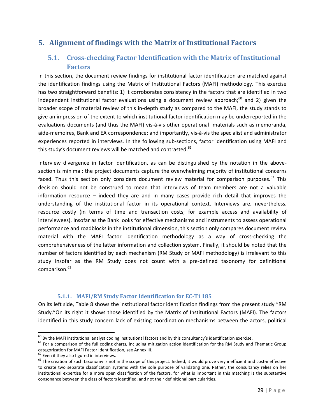## <span id="page-32-1"></span><span id="page-32-0"></span>**5. Alignment of findings with the Matrix of Institutional Factors**

## **5.1. Cross-checking Factor Identification with the Matrix of Institutional Factors**

In this section, the document review findings for institutional factor identification are matched against the identification findings using the Matrix of Institutional Factors (MAFI) methodology. This exercise has two straightforward benefits: 1) it corroborates consistency in the factors that are identified in two independent institutional factor evaluations using a document review approach; $^{60}$  and 2) given the broader scope of material review of this in-depth study as compared to the MAFI, the study stands to give an impression of the extent to which institutional factor identification may be underreported in the evaluations documents (and thus the MAFI) vis-à-vis other operational materials such as memoranda, aide-memoires, Bank and EA correspondence; and importantly, vis-à-vis the specialist and administrator experiences reported in interviews. In the following sub-sections, factor identification using MAFI and this study's document reviews will be matched and contrasted.<sup>61</sup>

Interview divergence in factor identification, as can be distinguished by the notation in the abovesection is minimal: the project documents capture the overwhelming majority of institutional concerns faced. Thus this section only considers document review material for comparison purposes. $^{62}$  This decision should not be construed to mean that interviews of team members are not a valuable information resource – indeed they are and in many cases provide rich detail that improves the understanding of the institutional factor in its operational context. Interviews are, nevertheless, resource costly (in terms of time and transaction costs; for example access and availability of interviewees). Insofar as the Bank looks for effective mechanisms and instruments to assess operational performance and roadblocks in the institutional dimension, this section only compares document review material with the MAFI factor identification methodology as a way of cross-checking the comprehensiveness of the latter information and collection system. Finally, it should be noted that the number of factors identified by each mechanism (RM Study or MAFI methodology) is irrelevant to this study insofar as the RM Study does not count with a pre-defined taxonomy for definitional comparison. 63

#### **5.1.1. MAFI/RM Study Factor Identification for EC-T1185**

<span id="page-32-2"></span>On its left side, Table 8 shows the institutional factor identification findings from the present study "RM Study."On its right it shows those identified by the Matrix of Institutional Factors (MAFI). The factors identified in this study concern lack of existing coordination mechanisms between the actors, political

 $\overline{a}$ 

 $^{60}$  By the MAFI institutional analyst coding institutional factors and by this consultancy's identification exercise.

 $61$  For a comparison of the full coding charts, including mitigation action identification for the RM Study and Thematic Group categorization for MAFI Factor Identification, see Annex III.

 $62$  Even if they also figured in interviews.

<sup>&</sup>lt;sup>63</sup> The creation of such taxonomy is not in the scope of this project. Indeed, it would prove very inefficient and cost-ineffective to create two separate classification systems with the sole purpose of validating one. Rather, the consultancy relies on her institutional expertise for a more open classification of the factors, for what is important in this matching is the substantive consonance between the class of factors identified, and not their definitional particularities.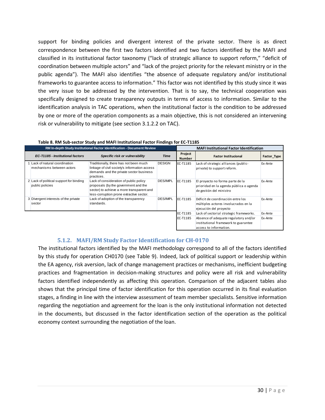support for binding policies and divergent interest of the private sector. There is as direct correspondence between the first two factors identified and two factors identified by the MAFI and classified in its institutional factor taxonomy ("lack of strategic alliance to support reform," "deficit of coordination between multiple actors" and "lack of the project priority for the relevant ministry or in the public agenda"). The MAFI also identifies "the absence of adequate regulatory and/or institutional frameworks to guarantee access to information." This factor was not identified by this study since it was the very issue to be addressed by the intervention. That is to say, the technical cooperation was specifically designed to create transparency outputs in terms of access to information. Similar to the identification analysis in TAC operations, when the institutional factor is the condition to be addressed by one or more of the operation components as a main objective, this is not considered an intervening risk or vulnerability to mitigate (see section 3.1.2.2 on TAC).

| Table 8. RM Sub-sector Study and MAFI Institutional Factor Findings for EC-T1185 |  |
|----------------------------------------------------------------------------------|--|
|----------------------------------------------------------------------------------|--|

| RM In-depth Study Institutional Factor Identification - Document Review |                                                                                                                                                                         |                 |                          | <b>MAFI Institutional Factor Identification</b>                                                         |             |  |
|-------------------------------------------------------------------------|-------------------------------------------------------------------------------------------------------------------------------------------------------------------------|-----------------|--------------------------|---------------------------------------------------------------------------------------------------------|-------------|--|
| EC-T1185 - Institutional factors                                        | Specific risk or vulnerability                                                                                                                                          | Time            | Project<br><b>Number</b> | <b>Factor Institucional</b>                                                                             | Factor_Type |  |
| Lack of natural coordination<br>mechanisms between actors               | Traditionally, there has not been much<br>linkage of civil society's information access<br>demands and the private sector business<br>practices.                        | <b>DESIGN</b>   | EC-T1185                 | Lack of strategic alliances (public-<br>private) to support reform.                                     | Ex-Ante     |  |
| 2 Lack of political support for binding<br>public policies              | Lack of consideration of public policy<br>proposals (by the government and the<br>sector) to achieve a more transparent and<br>less-corruption prone extractive sector. | <b>DES/IMPL</b> | EC-T1185                 | El proyecto no forma parte de la<br>prioridad en la agenda pública o agenda<br>de gestión del ministro  | Ex-Ante     |  |
| 3 Divergent interests of the private<br>sector                          | Lack of adoption of the transparency<br>standards.                                                                                                                      | <b>DES/IMPL</b> | <b>EC-T1185</b>          | Déficit de coordinación entre los<br>múltiples actores involucrados en la<br>ejecución del proyecto     | Ex-Ante     |  |
|                                                                         |                                                                                                                                                                         |                 | EC-T1185                 | Lack of sectorial strategic frameworks.                                                                 | Ex-Ante     |  |
|                                                                         |                                                                                                                                                                         |                 | EC-T1185                 | Absence of adequate regulatory and/or<br>institutional framework to guarantee<br>access to information. | Ex-Ante     |  |

#### **5.1.2. MAFI/RM Study Factor Identification for CH-0170**

<span id="page-33-0"></span>The institutional factors identified by the MAFI methodology correspond to all of the factors identified by this study for operation CH0170 (see Table 9). Indeed, lack of political support or leadership within the EA agency, risk aversion, lack of change management practices or mechanisms, inefficient budgeting practices and fragmentation in decision-making structures and policy were all risk and vulnerability factors identified independently as affecting this operation. Comparison of the adjacent tables also shows that the principal time of factor identification for this operation occurred in its final evaluation stages, a finding in line with the interview assessment of team member specialists. Sensitive information regarding the negotiation and agreement for the loan is the only institutional information not detected in the documents, but discussed in the factor identification section of the operation as the political economy context surrounding the negotiation of the loan.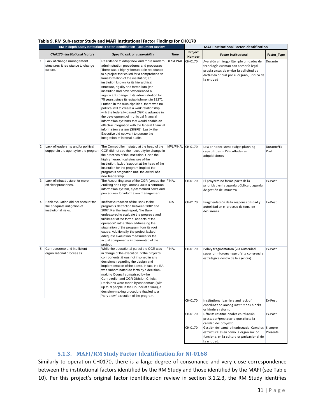| Table 9. RM Sub-sector Study and MAFI Institutional Factor Findings for CH0170 |  |  |  |  |
|--------------------------------------------------------------------------------|--|--|--|--|
|                                                                                |  |  |  |  |

| RM In-depth Study Institutional Factor Identification - Document Review |                                                                                           |                                                                                                                                                                                                                                                                                                                                                                                                                                                                                                                                                                                                                                                                                                                                                                                                                                                                   |                    | <b>MAFI Institutional Factor Identification</b> |                                                                                                                                                                                        |                     |  |
|-------------------------------------------------------------------------|-------------------------------------------------------------------------------------------|-------------------------------------------------------------------------------------------------------------------------------------------------------------------------------------------------------------------------------------------------------------------------------------------------------------------------------------------------------------------------------------------------------------------------------------------------------------------------------------------------------------------------------------------------------------------------------------------------------------------------------------------------------------------------------------------------------------------------------------------------------------------------------------------------------------------------------------------------------------------|--------------------|-------------------------------------------------|----------------------------------------------------------------------------------------------------------------------------------------------------------------------------------------|---------------------|--|
|                                                                         | <b>CH0170 - Institutional factors</b>                                                     | Specific risk or vulnerability                                                                                                                                                                                                                                                                                                                                                                                                                                                                                                                                                                                                                                                                                                                                                                                                                                    | <b>Time</b>        | Project<br>Number                               | <b>Factor Institucional</b>                                                                                                                                                            | Factor_Type         |  |
|                                                                         | Lack of change management<br>structures & resistance to change<br>culture.                | Resistance to adopt new and more modern<br>administration procedures and processes.<br>There was a highly foreseeable resistance<br>to a project that called for a comprehensive<br>transformation of the institution; an<br>institution known for its hierarchical<br>structure, rigidity and formalism (the<br>institution had never experienced a<br>significant change in its administration for<br>75 years, since its establishment in 1927).<br>Further, in the municipalities, there was no<br>political will to create a work relationship<br>with the federally-based CGR to advance in<br>the development of municipal financial<br>information systems that would enable an<br>effective integration with the federal financial<br>information system (SIGFE). Lastly, the<br>Executive did not want to pursue the<br>integration of internal audits. | <b>DES/FINAL</b>   | CH-0170                                         | Aversión al riesgo. Ejemplo unidades de<br>tecnología cuentan con asesoría legal<br>propia antes de enviar la solicitud de<br>dictamen oficial por el órgano jurídico de<br>la entidad | Durante             |  |
| $\overline{c}$                                                          | Lack of leadership and/or political<br>support in the agency for the program              | The Comptroller instated at the head of the<br>CGR did not see the necessity for change in<br>the practices of the institution. Given the<br>highly hierarchical structure of the<br>institution, lack of support at the head of the<br>institution for the program implied the<br>program's stagnation until the arrival of a<br>new leadership.                                                                                                                                                                                                                                                                                                                                                                                                                                                                                                                 | IMPL/FINAL CH-0170 |                                                 | Low or nonexistent budget planning<br>capabilities. - Dificultades en<br>adquisiciones                                                                                                 | Durante/Ex-<br>Post |  |
| 3                                                                       | Lack of infrastructure for more<br>efficient processes.                                   | The Accounting area of the CGR (versus the FINAL<br>Auditing and Legal areas) lacks a common<br>information system, systematized flows and<br>procedures for information management.                                                                                                                                                                                                                                                                                                                                                                                                                                                                                                                                                                                                                                                                              |                    | CH-0170                                         | El proyecto no forma parte de la<br>prioridad en la agenda pública o agenda<br>de gestión del ministro                                                                                 | Ex-Post             |  |
| 4                                                                       | Bank evaluation did not account for<br>the adequate mitigation of<br>institutional risks. | Ineffective reaction of the Bank to the<br>program's detraction between 2002 and<br>2007. Per the final report, "the Bank<br>endeavored to evaluate the progress and<br>fulfillment of the formal aspects of the<br>operation" rather than addressing the<br>stagnation of the program from its root<br>cause. Additionally, the project lacked<br>adequate evaluation measures for the<br>actual components implemented of the<br>project.                                                                                                                                                                                                                                                                                                                                                                                                                       | <b>FINAL</b>       | CH-0170                                         | Fragmentación de la responsabilidad y<br>autoridad en el proceso de toma de<br>decisiones                                                                                              | Ex-Post             |  |
| 5                                                                       | Cumbersome and inefficient<br>organizational processes                                    | While the operational part of the CGR was<br>in charge of the execution of the project's<br>components, it was not involved in any<br>decisions regarding the design and<br>implementation of the same. In fact, the EA<br>was subordinated de facto by a decision-<br>making Council comprised by the<br>Comptroller and CGR Division Chiefs.<br>Decisions were made by consensus (with<br>up to 9 people in the Council at a time), a<br>decision-making procedure that led to a<br>"very slow" execution of the program.                                                                                                                                                                                                                                                                                                                                       | <b>FINAL</b>       | CH-0170                                         | Policy fragmentation (via autoridad<br>superior micromanager, falta coherencia<br>estratégica dentro de la agencia)                                                                    | Ex-Post             |  |
|                                                                         |                                                                                           |                                                                                                                                                                                                                                                                                                                                                                                                                                                                                                                                                                                                                                                                                                                                                                                                                                                                   |                    | CH-0170                                         | Institutional barriers and lack of<br>coordination among institutions blocks<br>or hinders reform.                                                                                     | Ex-Post             |  |
|                                                                         |                                                                                           |                                                                                                                                                                                                                                                                                                                                                                                                                                                                                                                                                                                                                                                                                                                                                                                                                                                                   |                    | CH-0170                                         | Déficits institucionales en relación<br>prestador/prestatario que afecta la<br>calidad del proyecto                                                                                    | Ex-Post             |  |
|                                                                         |                                                                                           |                                                                                                                                                                                                                                                                                                                                                                                                                                                                                                                                                                                                                                                                                                                                                                                                                                                                   |                    | CH-0170                                         | Gestión del cambio inadecuada. Cambios Siempre<br>estructurales en como la organización<br>funciona, en la cultura organizacional de<br>la entidad.                                    | Presente            |  |

#### **5.1.3. MAFI/RM Study Factor Identification for NI-0168**

<span id="page-34-0"></span>Similarly to operation CH0170, there is a large degree of consonance and very close correspondence between the institutional factors identified by the RM Study and those identified by the MAFI (see Table 10). Per this project's original factor identification review in section 3.1.2.3, the RM Study identifies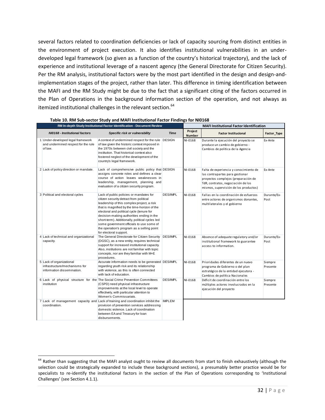several factors related to coordination deficiencies or lack of capacity sourcing from distinct entities in the environment of project execution. It also identifies institutional vulnerabilities in an underdeveloped legal framework (so given as a function of the country's historical trajectory), and the lack of experience and institutional leverage of a nascent agency (the General Directorate for Citizen Security). Per the RM analysis, institutional factors were by the most part identified in the design and design-andimplementation stages of the project, rather than later. This difference in timing identification between the MAFI and the RM Study might be due to the fact that a significant citing of the factors occurred in the Plan of Operations in the background information section of the operation, and not always as itemized institutional challenges in the relevant section.<sup>64</sup>

|                                                                                         | RM In-depth Study Institutional Factor Identification - Document Review                                                                                                                                                                                                                                                                                                                                                                           | <b>MAFI Institutional Factor Identification</b> |                          |                                                                                                                                                                                                 |                     |  |
|-----------------------------------------------------------------------------------------|---------------------------------------------------------------------------------------------------------------------------------------------------------------------------------------------------------------------------------------------------------------------------------------------------------------------------------------------------------------------------------------------------------------------------------------------------|-------------------------------------------------|--------------------------|-------------------------------------------------------------------------------------------------------------------------------------------------------------------------------------------------|---------------------|--|
| NI0168 - Institutional factors                                                          | Specific risk or vulnerability                                                                                                                                                                                                                                                                                                                                                                                                                    | <b>Time</b>                                     | Project<br><b>Number</b> | <b>Factor Institucional</b>                                                                                                                                                                     | Factor_Type         |  |
| 1 Under-developed legal framework<br>and undermined respect for the rule<br>of law.     | A context of undermined respect for the rule<br>of law given the historic context imposed in<br>the 1970s between civil society and the<br>institution. That historical context also<br>fostered neglect of the development of the<br>country's legal framework.                                                                                                                                                                                  | <b>DESIGN</b>                                   | NI-0168                  | Durante la ejecución del proyecto se<br>produce un cambio de gobierno -<br>Cambios de política de la Agencia                                                                                    | Ex-Ante             |  |
| 2 Lack of policy direction or mandate.                                                  | Lack of comprehensive public policy that DESIGN<br>assigns concrete roles and defines a clear<br>course of action leaves weaknesses in<br>leadership, management, planning and<br>evaluation of a citizen security program.                                                                                                                                                                                                                       |                                                 | NI-0168                  | Falta de experiencia y conocimiento de<br>las contrapartes para gestionar<br>proyectos complejos (preparación de<br>TdR, contratos, negociación de los<br>mismos, supervisión de los productos) | Ex-Ante             |  |
| 3 Political and electoral cycles                                                        | Lack of public policies or mandates for<br>citizen security detract from political<br>leadership of this complex project, a risk<br>that is magnified by the time-horizon of the<br>electoral and political cycle (tenure for<br>decision-making authorities ending in the<br>short-term). Additionally, political cycles led<br>some government officials to use some of<br>the operation's program as a selling point<br>for electoral support. | <b>DES/IMPL</b>                                 | NI-0168                  | Fallas en la coordinación de esfuerzos<br>entre actores de organismos donantes,<br>multilaterales y el gobierno                                                                                 | Durante/Ex-<br>Post |  |
| 4 Lack of technical and organizational<br>capacity.                                     | The General Directorate for Citizen Security<br>(DGSC), as a new entity, requires technical<br>support for increased institutional capacity.<br>Also, institutions are not familiar with topic<br>concepts, nor are they familiar with M+E<br>procedures.                                                                                                                                                                                         | <b>DES/IMPL</b>                                 | NI-0168                  | Absence of adequate regulatory and/or<br>institutional framework to guarantee<br>access to information.                                                                                         | Durante/Ex-<br>Post |  |
| 5 Lack of organizational<br>infrastructure/mechanisms for<br>information dissemination. | Accurate information needs to be generated DES/IMPL<br>regarding youth risk and its relationship<br>with violence, as this is often connected<br>with lack of education.                                                                                                                                                                                                                                                                          |                                                 | NI-0168                  | Prioridades diferentes de un nuevo<br>programa de Gobierno o del plan<br>estratégico de la entidad ejecutora -<br>Cambios de política Nacionales                                                | Siempre<br>Presente |  |
| institution                                                                             | 6 Lack of physical structure for the The Social Crime Prevention Committees<br>(CSPD) need physical infrastructure<br>improvements at the local level to operate<br>effectively, with particular attention to<br>Women's Commissariats.                                                                                                                                                                                                           | <b>DES/IMPL</b>                                 | NI-0168                  | Déficit de coordinación entre los<br>múltiples actores involucrados en la<br>ejecución del proyecto                                                                                             | Siempre<br>Presente |  |
| coordination.                                                                           | 7 Lack of management capacity and Lack of training and coordination inhibit the<br>provision of prevention services addressing<br>domestic violence. Lack of coordination<br>between EA and Treasury for loan<br>disbursements.                                                                                                                                                                                                                   | <b>IMPLEM</b>                                   |                          |                                                                                                                                                                                                 |                     |  |

#### **Table 10. RM Sub-sector Study and MAFI Institutional Factor Findings for NI0168**

 $\overline{a}$ 

<sup>&</sup>lt;sup>64</sup> Rather than suggesting that the MAFI analyst ought to review all documents from start to finish exhaustively (although the selection could be strategically expanded to include these background sections), a presumably better practice would be for specialists to re-identify the institutional factors in the section of the Plan of Operations corresponding to 'Institutional Challenges' (see Section 4.1.1).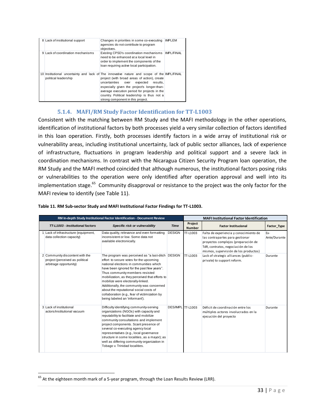| 8 Lack of institutional support   | Changes in priorities in some co-executing<br>agencies do not contribute to program<br>objectives.                                                                                                                                                                                                                                                                          | <b>IMPLEM</b> |
|-----------------------------------|-----------------------------------------------------------------------------------------------------------------------------------------------------------------------------------------------------------------------------------------------------------------------------------------------------------------------------------------------------------------------------|---------------|
| 9 Lack of coordination mechanisms | Existing CPSD's coordination mechanisms<br>need to be enhanced at a local level in<br>order to implement the components of the<br>loan requiring active local participation.                                                                                                                                                                                                | IMPL/FINAL    |
| political leadership              | 10 Institutional uncertainty and lack of The innovative nature and scope of the IMPL/FINAL<br>project (with broad areas of action), create<br>uncertainties over<br>results.<br>expected<br>especially given the project's longer-than-<br>average execution period for projects in the<br>country. Political leadership is thus not a<br>strong component in this project. |               |

#### **5.1.4. MAFI/RM Study Factor Identification for TT-L1003**

<span id="page-36-0"></span>Consistent with the matching between RM Study and the MAFI methodology in the other operations, identification of institutional factors by both processes yield a very similar collection of factors identified in this loan operation. Firstly, both processes identify factors in a wide array of institutional risk or vulnerability areas, including institutional uncertainty, lack of public sector alliances, lack of experience of infrastructure, fluctuations in program leadership and political support and a severe lack in coordination mechanisms. In contrast with the Nicaragua Citizen Security Program loan operation, the RM Study and the MAFI method coincided that although numerous, the institutional factors posing risks or vulnerabilities to the operation were only identified after operation approval and well into its implementation stage.<sup>65</sup> Community disapproval or resistance to the project was the only factor for the MAFI review to identify (see Table 11).

| RM In-depth Study Institutional Factor Identification - Document Review |                                                                                              |                                                                                                                                                                                                                                                                                                                                                                                                                                                                                            |                   |                          | <b>MAFI Institutional Factor Identification</b>                                                                                                                                                 |                     |  |  |
|-------------------------------------------------------------------------|----------------------------------------------------------------------------------------------|--------------------------------------------------------------------------------------------------------------------------------------------------------------------------------------------------------------------------------------------------------------------------------------------------------------------------------------------------------------------------------------------------------------------------------------------------------------------------------------------|-------------------|--------------------------|-------------------------------------------------------------------------------------------------------------------------------------------------------------------------------------------------|---------------------|--|--|
|                                                                         | TT-L1003 - Institutional factors                                                             | Specific risk or vulnerability                                                                                                                                                                                                                                                                                                                                                                                                                                                             | <b>Time</b>       | Project<br><b>Number</b> | <b>Factor Institucional</b>                                                                                                                                                                     | <b>Factor Type</b>  |  |  |
|                                                                         | 1 Lack of infrastructure (equipment,<br>data collection capacity)                            | Data quality, relevance and even formatting<br>inconsistent or low. Some data not<br>available electronically.                                                                                                                                                                                                                                                                                                                                                                             | <b>DESIGN</b>     | TT-L1003                 | Falta de experiencia y conocimiento de<br>las contrapartes para gestionar<br>proyectos complejos (preparación de<br>TdR, contratos, negociación de los<br>mismos, supervisión de los productos) | Fx-<br>Ante/Durante |  |  |
|                                                                         | 2 Community discontent with the<br>project (perceived as political<br>arbitrage opportunity) | The program was perceived as "a last-ditch DESIGN<br>effort to secure votes for the upcoming<br>national elections in communities which<br>have been ignored for the past few years".<br>Thus community members resisted<br>mobilization, as they perceived that efforts to<br>mobilize were electorally-linked.<br>Additionally, the community was concerned<br>about the reputational social costs of<br>collaboration (e.g., fear of victimization by<br>being labeled an 'informant'). |                   | TT-L1003                 | Lack of strategic alliances (public-<br>private) to support reform.                                                                                                                             | Durante             |  |  |
|                                                                         | 3 Lack of institutional<br>actors/institutional vacuum                                       | Difficulty identifying community-serving<br>organizations (NGOs) with capacity and<br>reputability to facilitate and mobilize<br>community consultations and implement<br>project components. Scant presence of<br>several co-executing agency local<br>representatives (e.g., local governance<br>structure in some localities, as a mayor); as<br>well as differing community organization in<br>Tobago v. Trinidad localities.                                                          | DES/IMPL TT-L1003 |                          | Déficit de coordinación entre los<br>múltiples actores involucrados en la<br>ejecución del proyecto                                                                                             | Durante             |  |  |

#### **Table 11. RM Sub-sector Study and MAFI Institutional Factor Findings for TT-L1003.**

 $\overline{a}$ 

 $65$  At the eighteen month mark of a 5-year program, through the Loan Results Review (LRR).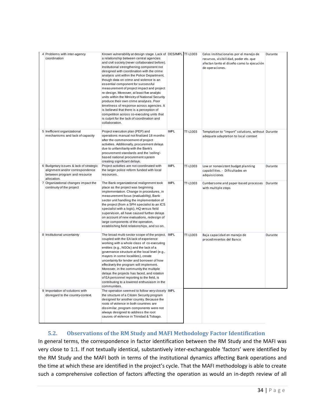| 4 Problems with inter-agency<br>coordination                                                                             | Known vulnerability at design stage. Lack of DES/IMPL TT-L1003<br>a relationship between central agencies<br>and civil society (never collaborated before).<br>Institutional strengthening component not<br>designed with coordination with the crime<br>analysis unit within the Police Department,<br>though data on crime and violence is an<br>essential component for successful<br>measurement of project impact and project<br>re-design. Moreover, at least five analytic<br>units within the Ministry of National Security<br>produce their own crime analyses. Poor<br>timeliness of response across agencies. It<br>is believed that there is a perception of<br>competition across co-executing units that<br>is culprit for the lack of coordination and<br>collaboration. |             |          | Celos institucionales por el manejo de<br>recursos, visibilidad, poder etc. que<br>afectan tanto el diseño como la ejecución<br>de operaciones. | Durante |
|--------------------------------------------------------------------------------------------------------------------------|-----------------------------------------------------------------------------------------------------------------------------------------------------------------------------------------------------------------------------------------------------------------------------------------------------------------------------------------------------------------------------------------------------------------------------------------------------------------------------------------------------------------------------------------------------------------------------------------------------------------------------------------------------------------------------------------------------------------------------------------------------------------------------------------|-------------|----------|-------------------------------------------------------------------------------------------------------------------------------------------------|---------|
| 5 Inefficient organizational<br>mechanisms and lack of capacity                                                          | Project execution plan (PEP) and<br>operations manual not finalized 18 months<br>after the commencement of project<br>activities. Additionally, procurement delays<br>due to unfamiliarity with the Bank's<br>procurement standards and the 'ceiling'-<br>based national procurement system<br>creating significant delays.                                                                                                                                                                                                                                                                                                                                                                                                                                                             | <b>IMPL</b> | TT-L1003 | Temptation to "import" solutions, without Durante<br>adequate adaptation to local context                                                       |         |
| 6 Budgetary issues & lack of strategic<br>alignment and/or correspondence<br>between program and resource<br>allocation. | Project activities are not coordinated with<br>the larger police reform funded with local<br>resources.                                                                                                                                                                                                                                                                                                                                                                                                                                                                                                                                                                                                                                                                                 | <b>IMPL</b> | TT-L1003 | Low or nonexistent budget planning<br>capabilities. - Dificultades en<br>adquisiciones                                                          | Durante |
| 7 Organizational changes impact the<br>continuity of the project                                                         | The Bank organizational realignment took<br>place as the project was beginning<br>implementation. Change in procedures, in<br>measurement focus (evaluability), Bank<br>sector unit handling the implementation of<br>the project (from a SPH specialist to an ICS<br>specialist with a logic), HQ versus field<br>supervision, all have caused further delays<br>on account of new evaluations, redesign of<br>large components of the operation,<br>establishing field relationships, and so on.                                                                                                                                                                                                                                                                                      | <b>IMPL</b> | TT-L1003 | Cumbersome and paper-based processes<br>with multiple steps                                                                                     | Durante |
| 8 Institutional uncertainty                                                                                              | The broad multi-sector scope of the project, IMPL<br>coupled with the EA lack of experience<br>working with a whole class of co-executing<br>entities (e.g., NGOs) and the lack of a<br>governance structure at the local level (e.g.,<br>mayors in some localities), create<br>uncertainty for lender and borrower of how<br>effectively the program will implement.<br>Moreover, in the community the multiple<br>delays the projects has faced, and rotation<br>of EA personnel reporting to the field, is<br>contributing to a lowered enthusiasm in the<br>communities.                                                                                                                                                                                                            |             | TT-L1003 | Baja capacidad en manejo de<br>procedimientos del Banco                                                                                         | Durante |
| 9 Importation of solutions with<br>disregard to the country-context.                                                     | The operation seemed to follow very closely IMPL<br>the structure of a Citizen Security program<br>designed for another country. Because the<br>roots of violence in both countries are<br>dissimilar, program components were not<br>always designed to address the root<br>causes of violence in Trinidad & Tobago.                                                                                                                                                                                                                                                                                                                                                                                                                                                                   |             |          |                                                                                                                                                 |         |

#### **5.2. Observations of the RM Study and MAFI Methodology Factor Identification**

<span id="page-37-0"></span>In general terms, the correspondence in factor identification between the RM Study and the MAFI was very close to 1:1. If not textually identical, substantively inter-exchangeable 'factors' were identified by the RM Study and the MAFI both in terms of the institutional dynamics affecting Bank operations and the time at which these are identified in the project's cycle. That the MAFI methodology is able to create such a comprehensive collection of factors affecting the operation as would an in-depth review of all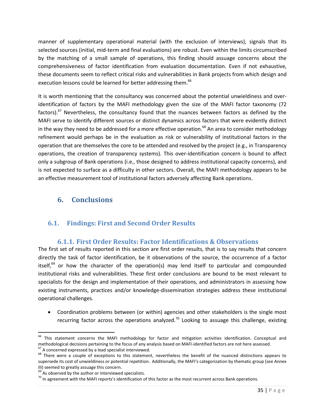manner of supplementary operational material (with the exclusion of interviews), signals that its selected sources (initial, mid-term and final evaluations) are robust. Even within the limits circumscribed by the matching of a small sample of operations, this finding should assuage concerns about the comprehensiveness of factor identification from evaluation documentation. Even if not exhaustive, these documents seem to reflect critical risks and vulnerabilities in Bank projects from which design and execution lessons could be learned for better addressing them.<sup>66</sup>

It is worth mentioning that the consultancy was concerned about the potential unwieldiness and overidentification of factors by the MAFI methodology given the size of the MAFI factor taxonomy (72 factors).<sup>67</sup> Nevertheless, the consultancy found that the nuances between factors as defined by the MAFI serve to identify different sources or distinct dynamics across factors that were evidently distinct in the way they need to be addressed for a more effective operation.<sup>68</sup> An area to consider methodology refinement would perhaps be in the evaluation as risk or vulnerability of institutional factors in the operation that are themselves the core to be attended and resolved by the project (e.g., in Transparency operations, the creation of transparency systems). This over-identification concern is bound to affect only a subgroup of Bank operations (i.e., those designed to address institutional capacity concerns), and is not expected to surface as a difficulty in other sectors. Overall, the MAFI methodology appears to be an effective measurement tool of institutional factors adversely affecting Bank operations.

## <span id="page-38-0"></span>**6. Conclusions**

## <span id="page-38-1"></span>**6.1. Findings: First and Second Order Results**

#### **6.1.1. First Order Results: Factor Identifications & Observations**

<span id="page-38-2"></span>The first set of results reported in this section are first order results, that is to say results that concern directly the task of factor identification, be it observations of the source, the occurrence of a factor itself,<sup>69</sup> or how the character of the operation(s) may lend itself to particular and compounded institutional risks and vulnerabilities. These first order conclusions are bound to be most relevant to specialists for the design and implementation of their operations, and administrators in assessing how existing instruments, practices and/or knowledge-dissemination strategies address these institutional operational challenges.

 Coordination problems between (or within) agencies and other stakeholders is the single most recurring factor across the operations analyzed.<sup>70</sup> Looking to assuage this challenge, existing

 $\overline{a}$ 

<sup>&</sup>lt;sup>66</sup> This statement concerns the MAFI methodology for factor and mitigation activities identification. Conceptual and methodological decisions pertaining to the focus of any analysis based on MAFI-identified factors are not here assessed.  $67$  A concerned expressed by a lead specialist interviewed.

 $68$  There were a couple of exceptions to this statement, nevertheless the benefit of the nuanced distinctions appears to supersede its cost of unwieldiness or potential repetition. Additionally, the MAFI's categorization by thematic group (see Annex III) seemed to greatly assuage this concern.

 $69$  As observed by the author or interviewed specialists.

 $70$  In agreement with the MAFI reports's identification of this factor as the most recurrent across Bank operations.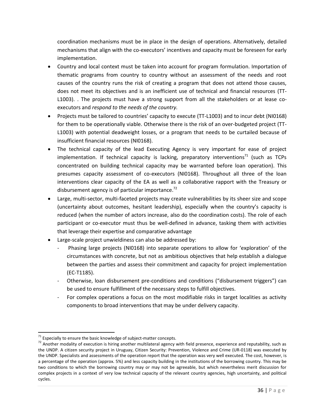coordination mechanisms must be in place in the design of operations. Alternatively, detailed mechanisms that align with the co-executors' incentives and capacity must be foreseen for early implementation.

- Country and local context must be taken into account for program formulation. Importation of thematic programs from country to country without an assessment of the needs and root causes of the country runs the risk of creating a program that does not attend those causes, does not meet its objectives and is an inefficient use of technical and financial resources (TT-L1003). . The projects must have a strong support from all the stakeholders or at lease coexecutors and *respond to the needs of the country.*
- Projects must be tailored to countries' capacity to execute (TT-L1003) and to incur debt (NI0168) for them to be operationally viable. Otherwise there is the risk of an over-budgeted project (TT-L1003) with potential deadweight losses, or a program that needs to be curtailed because of insufficient financial resources (NI0168).
- The technical capacity of the lead Executing Agency is very important for ease of project implementation. If technical capacity is lacking, preparatory interventions<sup>71</sup> (such as TCPs concentrated on building technical capacity may be warranted before loan operation). This presumes capacity assessment of co-executors (NI0168). Throughout all three of the loan interventions clear capacity of the EA as well as a collaborative rapport with the Treasury or disbursement agency is of particular importance.<sup>72</sup>
- Large, multi-sector, multi-faceted projects may create vulnerabilities by its sheer size and scope (uncertainty about outcomes, hesitant leadership), especially when the country's capacity is reduced (when the number of actors increase, also do the coordination costs). The role of each participant or co-executor must thus be well-defined in advance, tasking them with activities that leverage their expertise and comparative advantage
- Large-scale project unwieldiness can also be addressed by:
	- Phasing large projects (NI0168) into separate operations to allow for 'exploration' of the circumstances with concrete, but not as ambitious objectives that help establish a dialogue between the parties and assess their commitment and capacity for project implementation (EC-T1185).
	- Otherwise, loan disbursement pre-conditions and conditions ("disbursement triggers") can be used to ensure fulfillment of the necessary steps to fulfill objectives.
	- For complex operations a focus on the most modifiable risks in target localities as activity components to broad interventions that may be under delivery capacity.

 $\overline{a}$  $71$  Especially to ensure the basic knowledge of subject-matter concepts.

 $72$  Another modality of execution is hiring another multilateral agency with field presence, experience and reputability, such as the UNDP. A citizen security project in Uruguay, Citizen Security: Prevention, Violence and Crime (UR-0118) was executed by the UNDP. Specialists and assessments of the operation report that the operation was very well executed. The cost, however, is a percentage of the operation (approx. 5%) and less capacity building in the institutions of the borrowing country. This may be two conditions to which the borrowing country may or may not be agreeable, but which nevertheless merit discussion for complex projects in a context of very low technical capacity of the relevant country agencies, high uncertainty, and political cycles.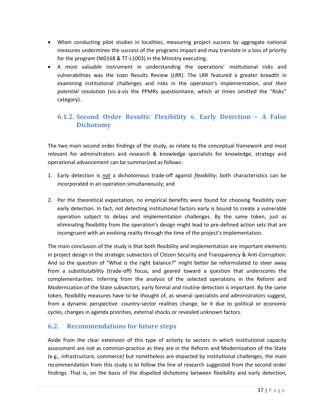- When conducting pilot studies in localities, measuring project success by aggregate national measures undermines the success of the programs impact and may translate in a loss of priority for the program (NI0168 & TT-L1003) in the Ministry executing.
- A most valuable instrument in understanding the operations' institutional risks and vulnerabilities was the Loan Results Review (LRR). The LRR featured a greater breadth in examining institutional challenges and risks in the operation's implementation, *and their potential resolution* (vis-à-vis the PPMRs questionnaire, which at times omitted the "Risks" category).

## <span id="page-40-0"></span>**6.1.2. Second Order Results: Flexibility v. Early Detection – A False Dichotomy**

The two main second order findings of the study, as relate to the conceptual framework and most relevant for adminsitrators and research & knowledge specialists for knowledge, strategy and operational advancement can be summarized as follows:

- 1. Early detection is *not* a dichotomous trade-off against *flexibility*; both characteristics can be incorporated in an operation simultaneously; and
- 2. Per the theoretical expectation, no empirical benefits were found for choosing flexibility over early detection. In fact, not detecting institutional factors early is bound to create a vulnerable operation subject to delays and implementation challenges. By the same token, just as eliminating flexibility from the operation's design might lead to pre-defined action sets that are incongruent with an evolving reality through the time of the project's implementation.

The main conclusion of the study is that both flexibility and implementation are important elements in project design in the strategic subsectors of Citizen Security and Transparency & Anti-Corruption. And so the question of "What is the right balance?" might better be reformulated to steer away from a substitutability (trade-off) focus, and geared toward a question that underscores the complementarities. Inferring from the analysis of the selected operations in the Reform and Modernization of the State subsectors, early formal and routine detection is important. By the same token, flexibility measures have to be thought of, as several specialists and administrators suggest, from a dynamic perspective: country-sector realities change, be it due to political or economic cycles, changes in agenda priorities, external shocks or revealed unknown factors.

## <span id="page-40-1"></span>**6.2. Recommendations for future steps**

Aside from the clear extension of this type of activity to sectors in which institutional capacity assessment are not as common-practice as they are in the Reform and Modernization of the State (e.g., infrastructure, commerce) but nonetheless are impacted by institutional challenges, the main recommendation from this study is to follow the line of research suggested from the second order findings. That is, on the basis of the dispelled dichotomy between flexibility and early detection,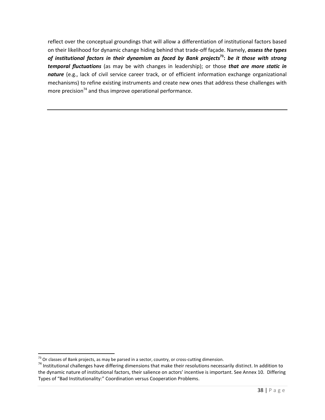reflect over the conceptual groundings that will allow a differentiation of institutional factors based on their likelihood for dynamic change hiding behind that trade-off façade. Namely, *assess the types of institutional factors in their dynamism as faced by Bank projects* **<sup>73</sup>:** *be it those with strong temporal fluctuations* (as may be with changes in leadership); or those *that are more static in nature* (e.g., lack of civil service career track, or of efficient information exchange organizational mechanisms) to refine existing instruments and create new ones that address these challenges with more precision<sup>74</sup> and thus improve operational performance.

l  $^{73}$  Or classes of Bank projects, as may be parsed in a sector, country, or cross-cutting dimension.

 $74$  Institutional challenges have differing dimensions that make their resolutions necessarily distinct. In addition to the dynamic nature of institutional factors, their salience on actors' incentive is important. See Annex 10. Differing Types of "Bad Institutionality:" Coordination versus Cooperation Problems.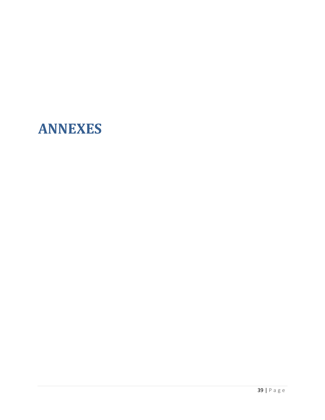# <span id="page-42-0"></span>**ANNEXES**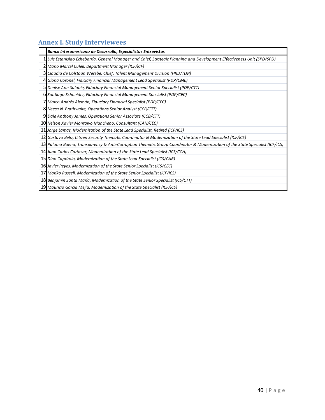# <span id="page-43-0"></span>**Annex I. Study Interviewees**

| Banco Interamericano de Desarrollo, Especialistas Entrevistas                                                                |
|------------------------------------------------------------------------------------------------------------------------------|
| 1 Luis Estanislao Echebarría, General Manager and Chief, Strategic Planning and Development Effectiveness Unit (SPD/SPD)     |
| 2 Mario Marcel Culell, Department Manager (ICF/ICF)                                                                          |
| 3 Claudia de Colstoun Werebe, Chief, Talent Management Division (HRD/TLM)                                                    |
| 4 Gloria Coronel, Fidiciary Financial Management Lead Specialist (PDP/CME)                                                   |
| 5 Denise Ann Salabie, Fiduciary Financial Management Senior Specialist (PDP/CTT)                                             |
| 6 Santiago Schneider, Fiduciary Financial Management Specialist (PDP/CEC)                                                    |
| 7 Marco Andrés Alemán, Fiduciary Financial Specialist (PDP/CEC)                                                              |
| 8 Neeca N. Brathwaite, Operations Senior Analyst (CCB/CTT)                                                                   |
| 9 Dale Anthony James, Operations Senior Associate (CCB/CTT)                                                                  |
| 10 Nelson Xavier Montalvo Mancheno, Consultant (CAN/CEC)                                                                     |
| 11 Jorge Lamas, Modernization of the State Lead Specialist, Retired (ICF/ICS)                                                |
| 12 Gustavo Beliz, Citizen Security Thematic Coordinator & Modernization of the State Lead Specialist (ICF/ICS)               |
| 13 Paloma Baena, Transparency & Anti-Corruption Thematic Group Coordinator & Modernization of the State Specialist (ICF/ICS) |
| 14 Juan Carlos Cortazar, Modernization of the State Lead Specialist (ICS/CCH)                                                |
| 15 Dino Caprirolo, Modernization of the State Lead Specialist (ICS/CAR)                                                      |
| 16 Javier Reyes, Modernization of the State Senior Specialist (ICS/CEC)                                                      |
| 17 Mariko Russell, Modernization of the State Senior Specialist (ICF/ICS)                                                    |
| 18 Benjamín Santa María, Modernization of the State Senior Specialist (ICS/CTT)                                              |
| 19 Mauricio García Mejía, Modernization of the State Specialist (ICF/ICS)                                                    |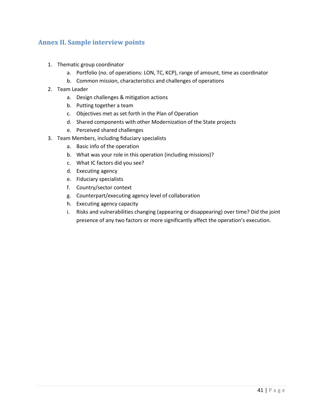## <span id="page-44-0"></span>**Annex II. Sample interview points**

- 1. Thematic group coordinator
	- a. Portfolio (no. of operations: LON, TC, KCP), range of amount, time as coordinator
	- b. Common mission, characteristics and challenges of operations
- 2. Team Leader
	- a. Design challenges & mitigation actions
	- b. Putting together a team
	- c. Objectives met as set forth in the Plan of Operation
	- d. Shared components with other Modernization of the State projects
	- e. Perceived shared challenges
- 3. Team Members, including fiduciary specialists
	- a. Basic info of the operation
	- b. What was your role in this operation (including missions)?
	- c. What IC factors did you see?
	- d. Executing agency
	- e. Fiduciary specialists
	- f. Country/sector context
	- g. Counterpart/executing agency level of collaboration
	- h. Executing agency capacity
	- i. Risks and vulnerabilities changing (appearing or disappearing) over time? Did the joint presence of any two factors or more significantly affect the operation's execution.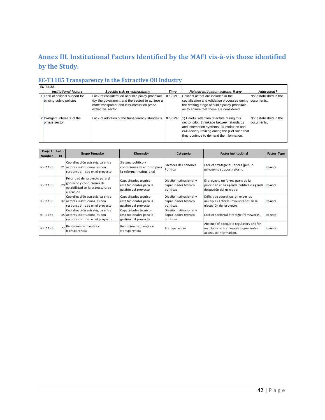## <span id="page-45-0"></span>**Annex III. Institutional Factors Identified by the MAFI vis-à-vis those identified by the Study.**

## <span id="page-45-1"></span>**EC-T1185 Transparency in the Extractive Oil Industry**

| <b>EC-T1185</b>                                          |                                                                                                                                                                                  |      |                                                                                                                                                                                               |                                      |
|----------------------------------------------------------|----------------------------------------------------------------------------------------------------------------------------------------------------------------------------------|------|-----------------------------------------------------------------------------------------------------------------------------------------------------------------------------------------------|--------------------------------------|
| <b>Institutional factors</b>                             | Specific risk or vulnerability                                                                                                                                                   | Time | Related-mitigation actions, if any                                                                                                                                                            | Addressed?                           |
| Lack of political support for<br>binding public policies | Lack of consideration of public policy proposals DES/IMPL<br>(by the governemnt and the sector) to achieve a<br>more transparent and less-corruption prone<br>extractive sector. |      | Political actors are included in the<br>socialization and validation processes during documents.<br>the drafting stage of public policy proposals,<br>as to ensure that these are considered. | Not established in the               |
| 2 Divergent interests of the<br>private sector           | Lack of adoption of the transparency standards. DES/IMPL 1) Careful selection of actors during this                                                                              |      | sector pilot, 2) linkage between standards<br>and information systems; 3) Institution and<br>civil-society training during the pilot such that<br>they continue to demand the information.    | Not established in the<br>documents. |

| Project<br><b>Number</b> | <b>Factor</b><br>ID | <b>Grupo Tematico</b>                                                                                       | <b>Dimensión</b>                                                              | Categoría                                                   | <b>Factor Institucional</b>                                                                                    | Factor_Type |
|--------------------------|---------------------|-------------------------------------------------------------------------------------------------------------|-------------------------------------------------------------------------------|-------------------------------------------------------------|----------------------------------------------------------------------------------------------------------------|-------------|
| EC-T1185                 |                     | Coordinación estratégica entre<br>21 actores institucionales con<br>responsabilidad en el proyecto          | Sistema político y<br>condiciones de entorno para<br>la reforma institucional | Factores de Economía<br>Política                            | Lack of strategic alliances (public-<br>private) to support reform.                                            | Ex-Ante     |
| EC-T1185                 | 29                  | Prioridad del proyecto para el<br>gobierno y condiciones de<br>estabilidad en la estructura de<br>ejecución | Capacidades técnico-<br>institucionales para la<br>gestión del proyecto       | Diseño institucional y<br>capacidades técnico<br>políticas. | El proyecto no forma parte de la<br>prioridad en la agenda pública o agenda Ex-Ante<br>de gestión del ministro |             |
| EC-T1185                 |                     | Coordinación estratégica entre<br>32 actores institucionales con<br>responsabilidad en el proyecto          | Capacidades técnico-<br>institucionales para la<br>gestión del proyecto       | Diseño institucional y<br>capacidades técnico<br>políticas. | Déficit de coordinación entre los<br>múltiples actores involucrados en la<br>ejecución del proyecto            | Ex-Ante     |
| EC-T1185                 |                     | Coordinación estratégica entre<br>35 actores institucionales con<br>responsabilidad en el proyecto          | Capacidades técnico-<br>institucionales para la<br>gestión del proyecto       | Diseño institucional y<br>capacidades técnico<br>políticas. | Lack of sectorial strategic frameworks.                                                                        | Ex-Ante     |
| EC-T1185                 | 77                  | Rendición de cuentas y<br>transparencia                                                                     | Rendición de cuentas y<br>transparencia                                       | Transparencia                                               | Absence of adequate regulatory and/or<br>institutional framework to guarantee<br>access to information.        | Ex-Ante     |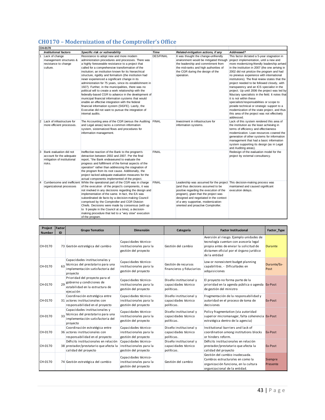## <span id="page-46-0"></span>**CH0170 – Modernization of the Comptroller's Office**

|                | CH-0170                                                                                      |                                                                                                                                                                                                                                                                                                                                                                                                                                                                                                                                                                                                                                                                                                                                                                                                                                                         |                  |                                                                                                                                                                                                                                                                                                                          |                                                                                                                                                                                                                                                                                                                                                                                                                                                                                                                                                                                                                                                                                                                                  |
|----------------|----------------------------------------------------------------------------------------------|---------------------------------------------------------------------------------------------------------------------------------------------------------------------------------------------------------------------------------------------------------------------------------------------------------------------------------------------------------------------------------------------------------------------------------------------------------------------------------------------------------------------------------------------------------------------------------------------------------------------------------------------------------------------------------------------------------------------------------------------------------------------------------------------------------------------------------------------------------|------------------|--------------------------------------------------------------------------------------------------------------------------------------------------------------------------------------------------------------------------------------------------------------------------------------------------------------------------|----------------------------------------------------------------------------------------------------------------------------------------------------------------------------------------------------------------------------------------------------------------------------------------------------------------------------------------------------------------------------------------------------------------------------------------------------------------------------------------------------------------------------------------------------------------------------------------------------------------------------------------------------------------------------------------------------------------------------------|
|                | <b>Institutional factors</b>                                                                 | Specific risk or vulnerability                                                                                                                                                                                                                                                                                                                                                                                                                                                                                                                                                                                                                                                                                                                                                                                                                          | <b>Time</b>      | Related-mitigation actions, if any                                                                                                                                                                                                                                                                                       | Addressed?                                                                                                                                                                                                                                                                                                                                                                                                                                                                                                                                                                                                                                                                                                                       |
|                | Lack of change<br>management structures &<br>resistance to change<br>culture.                | Resistance to adopt new and more modern<br>administration procedures and processes. There was<br>a highly foreseeable resistance to a project that<br>called for a comprehensive transformation of the<br>instiution: an institution known for its hierarchical<br>structure, rigidity and formalism (the institution had<br>never experienced a significant change in its<br>administration for 75 years, since its establishment in<br>1927). Further, in the municipalities, there was no<br>political will to create a work relationship with the<br>federally-based CGR to advance in the development of<br>municipal financial information systems that would<br>enable an effective integration with the federal<br>financial information system (SIGFE). Lastly, the<br>Executive did not want to pursue the integration of<br>internal audits. | <b>DES/FINAL</b> | It was thought the change-unfriendly<br>environment would be mitigated through project implementation, until a new and<br>the leadership and commitment from<br>the mid-ranks and high authorities of<br>the CGR during the design of the<br>operation.                                                                  | This factor dictated a 5-year stagnation in<br>more modernizing-friendly leadership arrived<br>in the institution in 2007 (the one arriving in<br>2002 did not priotize the program and had<br>no previous experience with international<br>institutions). The final review states that the<br>project needed to be followed closely, with<br>transparency and an ICS specialist in the<br>project. Up until 2006 the project was led by<br>fiduciary specialists in the field. It notes that<br>it is not within these<br>specialists'responsabilities or scope to<br>provide technical or strategic support to a<br>modernization of the state project, and thus<br>this area of the project was not effectively<br>addressed. |
| $\overline{2}$ | Lack of infrastructure for<br>more efficient processes.                                      | The Accounting area of the CGR (versus the Auditing<br>and Legal areas) lacks a common information<br>system, sistematized flows and procedures for<br>information management.                                                                                                                                                                                                                                                                                                                                                                                                                                                                                                                                                                                                                                                                          | <b>FINAL</b>     | Investment in infrastructure for<br>information systems.                                                                                                                                                                                                                                                                 | Lack of this system rendered this area of<br>the institution as the least achieving in<br>terms of efficiency and effectiveness<br>modernization. Loan resources covered the<br>generation of other systems for information<br>management that had a basic information<br>system supporting its design (as in Legal<br>and Auditing areas).                                                                                                                                                                                                                                                                                                                                                                                      |
| 3              | Bank evaluation did not<br>account for the adequate<br>mitigation of institutional<br>risks. | Ineffective reaction of the Bank to the program's<br>detraction between 2002 and 2007. Per the final<br>report. "the Bank endeavoured to evaluate the<br>progress and fulfillment of the formal aspects of the<br>operation" rather than addressing the stagnation of<br>the program from its root cause. Additionally, the<br>project lacked adequate evaluation measures for the<br>actual components implemented of the project.                                                                                                                                                                                                                                                                                                                                                                                                                     | <b>FINAL</b>     |                                                                                                                                                                                                                                                                                                                          | Redesign of the evaluation model for the<br>project by external consultancy.                                                                                                                                                                                                                                                                                                                                                                                                                                                                                                                                                                                                                                                     |
| $\overline{4}$ | organizational processes                                                                     | Cumbersome and inefficient While the operational part of the CGR was in charge<br>of the execution of the project's components, it was<br>not involved in any decisions regarding the design and<br>implementation of the same. In fact, the EA was<br>subordinated de facto by a decision-making Council<br>comprised by the Comptroller and CGR Division<br>Chiefs. Decisions were made by consensus (with up<br>to 9 people in the Council at a time), a decision-<br>making procedure that led to a "very slow" execution<br>of the program.                                                                                                                                                                                                                                                                                                        | <b>FINAL</b>     | Leadership was assumed for the project This decision-making process was<br>(and thus decisions assumed to be<br>positive regarding the execution of the<br>program), given that the project was<br>designed and negotiated in the context<br>of a very supportive, modernization-<br>oriented and proactive Comptroller. | maintained and caused significant<br>execution delays.                                                                                                                                                                                                                                                                                                                                                                                                                                                                                                                                                                                                                                                                           |

| Project<br><b>Number</b> | Factor<br>ID | <b>Grupo Tematico</b>                                                                                              | <b>Dimensión</b>                                                        | Categoría                                                   | <b>Factor Institucional</b>                                                                                                                                                            | <b>Factor Type</b>  |
|--------------------------|--------------|--------------------------------------------------------------------------------------------------------------------|-------------------------------------------------------------------------|-------------------------------------------------------------|----------------------------------------------------------------------------------------------------------------------------------------------------------------------------------------|---------------------|
| CH-0170                  |              | 73 Gestión estratégica del cambio                                                                                  | Capacidades técnico-<br>institucionales para la<br>gestión del proyecto | Gestión del cambio                                          | Aversión al riesgo. Ejemplo unidades de<br>tecnología cuentan con asesoría legal<br>propia antes de enviar la solicitud de<br>dictamen oficial por el órgano jurídico<br>de la entidad | Durante             |
| CH-0170                  | 63           | Capacidades institucionales y<br>técnicas del prestatario para una<br>implementación satisfactoria del<br>proyecto | Capacidades técnico-<br>institucionales para la<br>gestión del proyecto | Gestión de recursos<br>financieros y fiduciarios            | Low or nonexistent budget planning<br>capabilities. - Dificultades en<br>adquisiciones                                                                                                 | Durante/Ex-<br>Post |
| CH-0170                  | 29           | Prioridad del proyecto para el<br>gobierno y condiciones de<br>estabilidad en la estructura de<br>ejecución        | Capacidades técnico-<br>institucionales para la<br>gestión del proyecto | Diseño institucional y<br>capacidades técnico<br>políticas. | El proyecto no forma parte de la<br>prioridad en la agenda pública o agenda Ex-Post<br>de gestión del ministro                                                                         |                     |
| CH-0170                  |              | Coordinación estratégica entre<br>31 actores institucionales con<br>responsabilidad en el proyecto                 | Capacidades técnico-<br>institucionales para la<br>gestión del proyecto | Diseño institucional y<br>capacidades técnico<br>políticas. | Fragmentación de la responsabilidad y<br>autoridad en el proceso de toma de<br>decisiones                                                                                              | Ex-Post             |
| CH-0170                  | २२           | Capacidades institucionales y<br>técnicas del prestatario para una<br>implementación satisfactoria del<br>proyecto | Capacidades técnico-<br>institucionales para la<br>gestión del proyecto | Diseño institucional y<br>capacidades técnico<br>políticas. | Policy fragmentation (via autoridad<br>superior micromanager, falta coherencia Ex-Post<br>estratégica dentro de la agencia)                                                            |                     |
| CH-0170                  |              | Coordinación estratégica entre<br>36 actores institucionales con<br>responsabilidad en el proyecto                 | Capacidades técnico-<br>institucionales para la<br>gestión del proyecto | Diseño institucional y<br>capacidades técnico<br>políticas. | Institutional barriers and lack of<br>coordination among institutions blocks<br>or hinders reform.                                                                                     | Ex-Post             |
| CH-0170                  |              | Déficits institucionales en relación<br>38 prestador/prestatario que afecta la<br>calidad del proyecto             | Capacidades técnico-<br>institucionales para la<br>gestión del proyecto | Diseño institucional y<br>capacidades técnico<br>políticas. | Déficits institucionales en relación<br>prestador/prestatario que afecta la<br>calidad del proyecto                                                                                    | Ex-Post             |
| CH-0170                  |              | 74 Gestión estratégica del cambio                                                                                  | Capacidades técnico-<br>institucionales para la<br>gestión del proyecto | Gestión del cambio                                          | Gestión del cambio inadecuada.<br>Cambios estructurales en como la<br>organización funciona, en la cultura<br>organizacional de la entidad.                                            | Siempre<br>Presente |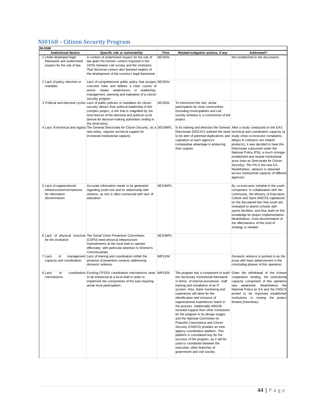## <span id="page-47-0"></span>**NI0168 – Citizen Security Program**

| NI-0168                          |                                                                                             |               |                                                                               |                                            |
|----------------------------------|---------------------------------------------------------------------------------------------|---------------|-------------------------------------------------------------------------------|--------------------------------------------|
| <b>Institutional factors</b>     | Specific risk or vulnerability                                                              | <b>Time</b>   | Related-mitigation actions, if any                                            | Addressed?                                 |
| 1 Under-developed legal          | A context of undermined respect for the rule of                                             | <b>DESIGN</b> |                                                                               | Not established in the documents.          |
| framework and undermined         | law given the historic context imposed in the                                               |               |                                                                               |                                            |
| respect for the rule of law.     | 1970s between civil society and the institution.                                            |               |                                                                               |                                            |
|                                  | That historical context also fostered neglect of                                            |               |                                                                               |                                            |
|                                  | the development of the country's legal framework.                                           |               |                                                                               |                                            |
|                                  |                                                                                             |               |                                                                               |                                            |
| 2 Lack of policy direction or    |                                                                                             |               |                                                                               |                                            |
|                                  | Lack of comprehensive public policy that assigns DESIGN                                     |               |                                                                               |                                            |
| mandate.                         | concrete roles and defines a clear course of                                                |               |                                                                               |                                            |
|                                  | leaves weaknesses in leadership,<br>action                                                  |               |                                                                               |                                            |
|                                  | management, planning and evaluation of a citizen                                            |               |                                                                               |                                            |
|                                  | security program.                                                                           |               |                                                                               |                                            |
| 3 Political and electoral cycles | Lack of public policies or mandates for citizen                                             | <b>DESIGN</b> | To minimized this risk, active                                                |                                            |
|                                  | security detract from political leadership of this                                          |               | participation by local communities                                            |                                            |
|                                  | complex project, a risk that is magnified by the                                            |               | (including municipalities and civil                                           |                                            |
|                                  | time-horizon of the electoral and political cycle                                           |               | society entities) is a cornerstone of the                                     |                                            |
|                                  | (tenure for decision-making authorities ending in                                           |               | project.                                                                      |                                            |
|                                  | the short-term).                                                                            |               |                                                                               |                                            |
|                                  | 4 Lack of technical and organiz The General Directorate for Citizen Security, as a DES/IMPL |               | In its training and direction the General After a study conducted on the EA's |                                            |
|                                  | new entity, requires technical support for                                                  |               | Directorate (DGCSC) outlined the need technical and coordination capacity (a  |                                            |
|                                  | increased institutional capacity.                                                           |               | to be alert of potential duplications and study show co-executor complaints,  |                                            |
|                                  |                                                                                             |               | capitalize on each agency's                                                   | delays & contracts w/o related             |
|                                  |                                                                                             |               |                                                                               |                                            |
|                                  |                                                                                             |               | comparative advantage in producing                                            | products), it was decided to have this     |
|                                  |                                                                                             |               | their outputs.                                                                | Directorate subsumed under the             |
|                                  |                                                                                             |               |                                                                               | National Police (PN), a much stronger,     |
|                                  |                                                                                             |               |                                                                               | established and neutral institutional      |
|                                  |                                                                                             |               |                                                                               | actor (now as Directorate for Citizen      |
|                                  |                                                                                             |               |                                                                               | Security). The PN is the new EA.           |
|                                  |                                                                                             |               |                                                                               | Nevertheless, variance is observed         |
|                                  |                                                                                             |               |                                                                               | across institutional capacity of different |
|                                  |                                                                                             |               |                                                                               | agencies.                                  |
|                                  |                                                                                             |               |                                                                               |                                            |
| 5 Lack of organizational         | Accurate information needs to be generated                                                  | DES/IMPL      |                                                                               | By co-executors initiative in the youth    |
| infrastructure/mechanisms        | regarding youth risk and its relationship with                                              |               |                                                                               | component. In collaboration with the       |
| for information                  | violence, as this is often connected with lack of                                           |               |                                                                               | community, the Ministry of Education,      |
| dissemination.                   | education.                                                                                  |               |                                                                               |                                            |
|                                  |                                                                                             |               |                                                                               | Culture and Sport (MECD) capitalized       |
|                                  |                                                                                             |               |                                                                               | on the discovered fact that youth are      |
|                                  |                                                                                             |               |                                                                               | motivated to attend schools with           |
|                                  |                                                                                             |               |                                                                               | sports facilities, and thus build on this  |
|                                  |                                                                                             |               |                                                                               | knowledge for project implementation.      |
|                                  |                                                                                             |               |                                                                               | Nevertheless, more dissemination of        |
|                                  |                                                                                             |               |                                                                               | the effectiveness of this kind of          |
|                                  |                                                                                             |               |                                                                               | strategy is needed.                        |
|                                  |                                                                                             |               |                                                                               |                                            |
|                                  | 6 Lack of physical structure The Social Crime Prevention Committees                         | DES/IMPL      |                                                                               |                                            |
| for the institution              | (CSPD) need physical infrastructure                                                         |               |                                                                               |                                            |
|                                  | improvements at the local level to operate                                                  |               |                                                                               |                                            |
|                                  |                                                                                             |               |                                                                               |                                            |
|                                  | effectively, with particular attention to Women's<br>Commissariats.                         |               |                                                                               |                                            |
|                                  |                                                                                             | <b>IMPLEM</b> |                                                                               |                                            |
| 7 Lack<br>of                     | management Lack of training and coordination inhibit the                                    |               |                                                                               | Domestic violence is pointed to as the     |
| capacity and coordination.       | provision of prevention services addressing                                                 |               |                                                                               | issue with least advancement in the        |
|                                  | domestic violence.                                                                          |               |                                                                               | concluding phases of this operation.       |
|                                  |                                                                                             |               |                                                                               |                                            |
| 8 Lack<br>of                     | coordination Existing CPSD's coordination mechanisms need MPLEM                             |               | The program has a component to build                                          | Given the withdrawal of the Korean         |
| mechanisms                       | to be enhanced at a local level in order to                                                 |               | the necessary institutional framework                                         | cooperation funding, the institutional     |
|                                  | implement the components of the loan requiring                                              |               | in terms of internal procedures, staff                                        | capacity component of this operation       |
|                                  | active local participation.                                                                 |               | training and installation of an IT                                            | weakened. Nevertheless<br>the<br>was       |
|                                  |                                                                                             |               | system. Also, Bank monitoring and                                             | National Police as EA and the CNSCS        |
|                                  |                                                                                             |               | supervision will allow for the                                                | proved to be important established         |
|                                  |                                                                                             |               | identification and inclusion of                                               | institutions in moving the project         |
|                                  |                                                                                             |               | organizational experiences learnt in                                          | forward (interviews).                      |
|                                  |                                                                                             |               |                                                                               |                                            |
|                                  |                                                                                             |               | the process. Additionally MIGOB                                               |                                            |
|                                  |                                                                                             |               | received support from other institutions                                      |                                            |
|                                  |                                                                                             |               | for the program in its design stages,                                         |                                            |
|                                  |                                                                                             |               | and the National Committee on                                                 |                                            |
|                                  |                                                                                             |               | Peaceful Coexistence and Citizen                                              |                                            |
|                                  |                                                                                             |               | Security (CNSCS) provides an inter-                                           |                                            |
|                                  |                                                                                             |               | agency coordination platform. This                                            |                                            |
|                                  |                                                                                             |               | platform is considered key for the                                            |                                            |
|                                  |                                                                                             |               | success of the program, as it will be                                         |                                            |
|                                  |                                                                                             |               | used to coordinate between the                                                |                                            |
|                                  |                                                                                             |               | executive, other branches of                                                  |                                            |
|                                  |                                                                                             |               | government and civil society.                                                 |                                            |
|                                  |                                                                                             |               |                                                                               |                                            |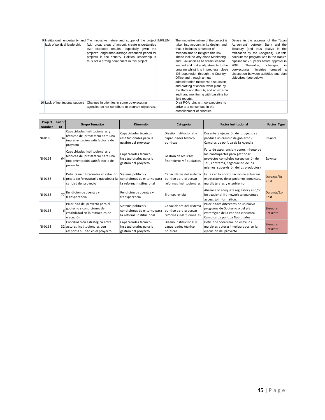| lack of political leadership     | 9 Institutional uncertainty and The innovative nature and scope of the project IMPLEM<br>(with broad areas of action), create uncertainties<br>over expected results, especially given the<br>project's longer-than-average execution period for<br>projects in the country. Political leadership is<br>thus not a strong component in this project. | The innovative nature of the project is<br>taken into account in its design, and<br>thus it includes a number of<br>mechanisms to mitigate this risk.<br>These include very close Monitoring<br>and Evaluation as to obtain lessons<br>learned and make adjustments to the<br>program whilst it is in progress; close<br><b>IDB</b> supervision through the Country<br>Office and through annual<br>administration missions: discussion<br>and drafting of annual work plans by<br>the Bank and the EA; and an external | Delays in the approval of the "Loan<br>Agreement" between Bank and the<br>Treasury (and thus dealys in the<br>ratification by the Congress). On this<br>account the program was in the Bank's<br>pipeline for 2.5 years before approval in<br>2004.<br>Thereafter,<br>changes<br>coexecuting ministries created<br>disjunction between activities and plan<br>objectives (see below). |
|----------------------------------|------------------------------------------------------------------------------------------------------------------------------------------------------------------------------------------------------------------------------------------------------------------------------------------------------------------------------------------------------|-------------------------------------------------------------------------------------------------------------------------------------------------------------------------------------------------------------------------------------------------------------------------------------------------------------------------------------------------------------------------------------------------------------------------------------------------------------------------------------------------------------------------|---------------------------------------------------------------------------------------------------------------------------------------------------------------------------------------------------------------------------------------------------------------------------------------------------------------------------------------------------------------------------------------|
| 10 Lack of institutional support |                                                                                                                                                                                                                                                                                                                                                      | audit and monitoring with baseline from<br>field reports.<br>Draft POA joint with co-executors to                                                                                                                                                                                                                                                                                                                                                                                                                       |                                                                                                                                                                                                                                                                                                                                                                                       |
|                                  | Changes in priorities in some co-executing<br>agencies do not contribute to program objectives.                                                                                                                                                                                                                                                      | arrive at a consensus in the<br>establishment of priorities.                                                                                                                                                                                                                                                                                                                                                                                                                                                            |                                                                                                                                                                                                                                                                                                                                                                                       |

| Project<br><b>Number</b> | Factor<br>ID | <b>Grupo Tematico</b>                                                                                              | <b>Dimensión</b>                                                              | Categoría                                                                     | <b>Factor Institucional</b>                                                                                                                                                                     | <b>Factor Type</b>  |
|--------------------------|--------------|--------------------------------------------------------------------------------------------------------------------|-------------------------------------------------------------------------------|-------------------------------------------------------------------------------|-------------------------------------------------------------------------------------------------------------------------------------------------------------------------------------------------|---------------------|
| NI-0168                  | 34           | Capacidades institucionales y<br>técnicas del prestatario para una<br>implementación satisfactoria del<br>proyecto | Capacidades técnico-<br>institucionales para la<br>gestión del proyecto       | Diseño institucional y<br>capacidades técnico<br>políticas.                   | Durante la ejecución del proyecto se<br>produce un cambio de gobierno -<br>Cambios de política de la Agencia                                                                                    | Ex-Ante             |
| NI-0168                  | 64           | Capacidades institucionales y<br>técnicas del prestatario para una<br>implementación satisfactoria del<br>proyecto | Capacidades técnico-<br>institucionales para la<br>gestión del proyecto       | Gestión de recursos<br>financieros y fiduciarios                              | Falta de experiencia y conocimiento de<br>las contrapartes para gestionar<br>proyectos complejos (preparación de<br>TdR, contratos, negociación de los<br>mismos, supervisión de los productos) | Ex-Ante             |
| NI-0168                  |              | Déficits institucionales en relación<br>8 prestador/prestatario que afecta la<br>calidad del proyecto              | Sistema político y<br>condiciones de entorno para<br>la reforma institucional | Capacidades del sistema<br>político para procesar<br>reformas institucionales | Fallas en la coordinación de esfuerzos<br>entre actores de organismos donantes,<br>multilaterales y el gobierno                                                                                 | Durante/Ex-<br>Post |
| NI-0168                  | 77           | Rendición de cuentas y<br>transparencia                                                                            | Rendición de cuentas y<br>transparencia                                       | Transparencia                                                                 | Absence of adequate regulatory and/or<br>institutional framework to guarantee<br>access to information.                                                                                         | Durante/Ex-<br>Post |
| NI-0168                  |              | Prioridad del proyecto para el<br>gobierno y condiciones de<br>estabilidad en la estructura de<br>ejecución        | Sistema político y<br>condiciones de entorno para<br>la reforma institucional | Capacidades del sistema<br>político para procesar<br>reformas institucionales | Prioridades diferentes de un nuevo<br>programa de Gobierno o del plan<br>estratégico de la entidad ejecutora -<br>Cambios de política Nacionales                                                | Siempre<br>Presente |
| NI-0168                  |              | Coordinación estratégica entre<br>32 actores institucionales con<br>responsabilidad en el proyecto                 | Capacidades técnico-<br>institucionales para la<br>gestión del proyecto       | Diseño institucional y<br>capacidades técnico<br>políticas.                   | Déficit de coordinación entre los<br>múltiples actores involucrados en la<br>ejecución del proyecto                                                                                             | Siempre<br>Presente |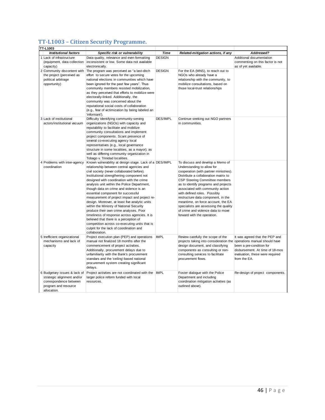## <span id="page-49-0"></span>**TT-L1003 – Citizen Security Programme.**

| TT-L1003                                                                                                                    |                                                                                                                                                                                                                                                                                                                                                                                                                                                                                                                                                                                                                                                                                                                                                                                 |                 |                                                                                                                                                                                                                                                                                                                                                                                                                                                                                          |                                                                                                                                                  |
|-----------------------------------------------------------------------------------------------------------------------------|---------------------------------------------------------------------------------------------------------------------------------------------------------------------------------------------------------------------------------------------------------------------------------------------------------------------------------------------------------------------------------------------------------------------------------------------------------------------------------------------------------------------------------------------------------------------------------------------------------------------------------------------------------------------------------------------------------------------------------------------------------------------------------|-----------------|------------------------------------------------------------------------------------------------------------------------------------------------------------------------------------------------------------------------------------------------------------------------------------------------------------------------------------------------------------------------------------------------------------------------------------------------------------------------------------------|--------------------------------------------------------------------------------------------------------------------------------------------------|
| <b>Institutional factors</b>                                                                                                | Specific risk or vulnerability                                                                                                                                                                                                                                                                                                                                                                                                                                                                                                                                                                                                                                                                                                                                                  | Time            | Related-mitigation actions, if any                                                                                                                                                                                                                                                                                                                                                                                                                                                       | Addressed?                                                                                                                                       |
| 1 Lack of infrastructure<br>(equipment, data collection                                                                     | Data quality, relevance and even formatting<br>inconsistent or low. Some data not available                                                                                                                                                                                                                                                                                                                                                                                                                                                                                                                                                                                                                                                                                     | <b>DESIGN</b>   |                                                                                                                                                                                                                                                                                                                                                                                                                                                                                          | Additional documentation<br>commenting on this factor is not                                                                                     |
| capacity)<br>2 Community discontent with<br>the project (perceived as<br>political arbitrage<br>opportunity)                | electronically.<br>The program was perceived as "a last-ditch<br>effort to secure votes for the upcoming<br>national elections in communities which have<br>been ignored for the past few years". Thus<br>community members resisted mobilization,<br>as they perceived that efforts to mobilize were<br>electorally-linked. Additionally, the<br>community was concerned about the<br>reputational social costs of collaboration                                                                                                                                                                                                                                                                                                                                               | <b>DESIGN</b>   | For the EA (MNS), to reach out to<br>NGOs who already have a<br>relationship with the community, to<br>mobilize consultations, based on<br>those local-trust relationships                                                                                                                                                                                                                                                                                                               | as of yet available.                                                                                                                             |
| 3 Lack of institutional<br>actors/institutional vacuum                                                                      | (e.g., fear of victimization by being labeled an<br>'informant').<br>Difficulty identifying community-serving<br>organizations (NGOs) with capacity and<br>reputability to facilitate and mobilize<br>community consultations and implement<br>project components. Scant presence of                                                                                                                                                                                                                                                                                                                                                                                                                                                                                            | <b>DES/IMPL</b> | Continue seeking out NGO partners<br>in communities.                                                                                                                                                                                                                                                                                                                                                                                                                                     |                                                                                                                                                  |
|                                                                                                                             | several co-executing agency local<br>representatives (e.g., local governance<br>structure in some localities, as a mayor); as<br>well as differing community organization in<br>Tobago v. Trinidad localities.                                                                                                                                                                                                                                                                                                                                                                                                                                                                                                                                                                  |                 |                                                                                                                                                                                                                                                                                                                                                                                                                                                                                          |                                                                                                                                                  |
| 4 Problems with inter-agency<br>coordination                                                                                | Known vulnerability at design stage. Lack of a DES/IMPL<br>relationship between central agencies and<br>civil society (never collaborated before).<br>Institutional strengthening component not<br>designed with coordination with the crime<br>analysis unit within the Police Department,<br>though data on crime and violence is an<br>essential component for successful<br>measurement of project impact and project re-<br>design. Moreover, at least five analytic units<br>within the Ministry of National Security<br>produce their own crime analyses. Poor<br>timeliness of response across agencies. It is<br>believed that there is a perception of<br>competition across co-executing units that is<br>culprit for the lack of coordination and<br>collaboration. |                 | To discuss and develop a Memo of<br>Understanding to allow for<br>cooperation (with partner ministries).<br>Distribute a collaboration matrix to<br>CSP Steering Committee members<br>as to identify programs and projects<br>associated with community action<br>with defined roles. Possibly<br>restructure data component, in the<br>meantime, on force account, the EA<br>specialists are assessing the quality<br>of crime and violence data to move<br>forward with the operation. |                                                                                                                                                  |
| 5 Inefficient organizational<br>mechanisms and lack of<br>capacity                                                          | Project execution plan (PEP) and operations<br>manual not finalized 18 months after the<br>commencement of project activities.<br>Additionally, procurement delays due to<br>unfamiliarity with the Bank's procurement<br>standars and the 'ceiling'-based national<br>procurement system creating significant<br>delays.                                                                                                                                                                                                                                                                                                                                                                                                                                                       | <b>IMPL</b>     | Review carefully the scope of the<br>projects taking into consideration the operations manual should have<br>design document, and classifying<br>components as consulting or non-<br>consulting services to facilitate<br>procurement flows.                                                                                                                                                                                                                                             | It was agreed that the PEP and<br>been a pre-condition for<br>disbursement. At time of 18-mos<br>evaluation, these were required<br>from the EA. |
| 6 Budgetary issues & lack of<br>strategic alignment and/or<br>correspondence between<br>program and resource<br>allocation. | Project activities are not coordinated with the IMPL<br>larger police reform funded with local<br>resources.                                                                                                                                                                                                                                                                                                                                                                                                                                                                                                                                                                                                                                                                    |                 | Foster dialogue with the Police<br>Department and including<br>coordination mitigation activities (as<br>outlined above).                                                                                                                                                                                                                                                                                                                                                                | Re-design of project components.                                                                                                                 |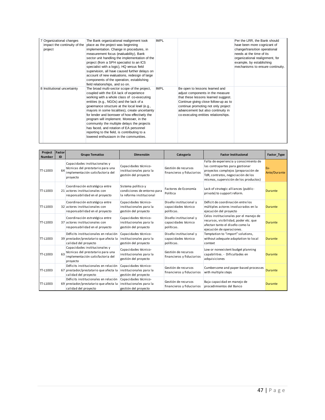| 7 Organizational changes<br>impact the continuity of the<br>project | The Bank organizational realignment took<br>place as the project was beginning<br>implementation. Change in procedures, in<br>measurement focus (evaluability), Bank<br>sector unit handling the implementation of the<br>project (from a SPH specialist to an ICS<br>specialist with a logic), HQ versus field<br>supervision, all have caused further delays on<br>account of new evaluations, redesign of large<br>components of the operation, establishing<br>field relationships, and so on.                                                                   | <b>IMPL</b> |                                                                                                                                                                                                                                                                         | Per the LRR, the Bank should<br>have been more cognizant of<br>change/transition operational<br>needs at the time of its<br>organizational realignment, for<br>example, by establishing<br>mechanisms to ensure continuity. |
|---------------------------------------------------------------------|----------------------------------------------------------------------------------------------------------------------------------------------------------------------------------------------------------------------------------------------------------------------------------------------------------------------------------------------------------------------------------------------------------------------------------------------------------------------------------------------------------------------------------------------------------------------|-------------|-------------------------------------------------------------------------------------------------------------------------------------------------------------------------------------------------------------------------------------------------------------------------|-----------------------------------------------------------------------------------------------------------------------------------------------------------------------------------------------------------------------------|
| 8 Institutional uncertainty                                         | The broad multi-sector scope of the project,<br>coupled with the EA lack of experience<br>working with a whole class of co-executing<br>entities (e.g., NGOs) and the lack of a<br>governance structure at the local level (e.g.,<br>mayors in some localities), create uncertainty<br>for lender and borrower of how effectively the<br>program will implement. Moreover, in the<br>community the multiple delays the projects<br>has faced, and rotation of EA personnel<br>reporting to the field, is contributing to a<br>lowered enthusiasm in the communities. | <b>IMPL</b> | Be open to lessons learned and<br>adjust components in the measure<br>that these lessons learned suggest.<br>Continue giving close follow-up as to<br>continue promoting not only project<br>advancement but also continuity in<br>co-executing entities relationships. |                                                                                                                                                                                                                             |

| Project       | Factor |                                                                                                                    | <b>Dimensión</b>                                                              |                                                             | <b>Factor Institucional</b>                                                                                                                                                                     |                     |
|---------------|--------|--------------------------------------------------------------------------------------------------------------------|-------------------------------------------------------------------------------|-------------------------------------------------------------|-------------------------------------------------------------------------------------------------------------------------------------------------------------------------------------------------|---------------------|
| <b>Number</b> | ID     | <b>Grupo Tematico</b>                                                                                              |                                                                               | Categoría                                                   |                                                                                                                                                                                                 | Factor_Type         |
| TT-L1003      | 64     | Capacidades institucionales y<br>técnicas del prestatario para una<br>implementación satisfactoria del<br>proyecto | Capacidades técnico-<br>institucionales para la<br>gestión del proyecto       | Gestión de recursos<br>financieros y fiduciarios            | Falta de experiencia y conocimiento de<br>las contrapartes para gestionar<br>proyectos complejos (preparación de<br>TdR, contratos, negociación de los<br>mismos, supervisión de los productos) | Ex-<br>Ante/Durante |
| TT-L1003      |        | Coordinación estratégica entre<br>21 actores institucionales con<br>responsabilidad en el proyecto                 | Sistema político y<br>condiciones de entorno para<br>la reforma institucional | Factores de Economía<br>Política                            | Lack of strategic alliances (public-<br>private) to support reform.                                                                                                                             | Durante             |
| TT-L1003      |        | Coordinación estratégica entre<br>32 actores institucionales con<br>responsabilidad en el proyecto                 | Capacidades técnico-<br>institucionales para la<br>gestión del proyecto       | Diseño institucional y<br>capacidades técnico<br>políticas. | Déficit de coordinación entre los<br>múltiples actores involucrados en la<br>ejecución del proyecto                                                                                             | Durante             |
| TT-L1003      |        | Coordinación estratégica entre<br>37 actores institucionales con<br>responsabilidad en el proyecto                 | Capacidades técnico-<br>institucionales para la<br>gestión del proyecto       | Diseño institucional y<br>capacidades técnico<br>políticas. | Celos institucionales por el manejo de<br>recursos, visibilidad, poder etc. que<br>afectan tanto el diseño como la<br>ejecución de operaciones.                                                 | <b>Durante</b>      |
| TT-L1003      |        | Déficits institucionales en relación<br>39 prestador/prestatario que afecta la<br>calidad del proyecto             | Capacidades técnico-<br>institucionales para la<br>gestión del proyecto       | Diseño institucional y<br>capacidades técnico<br>políticas. | Temptation to "import" solutions,<br>without adequate adaptation to local<br>context                                                                                                            | <b>Durante</b>      |
| TT-L1003      | 63     | Capacidades institucionales y<br>técnicas del prestatario para una<br>implementación satisfactoria del<br>proyecto | Capacidades técnico-<br>institucionales para la<br>gestión del proyecto       | Gestión de recursos<br>financieros y fiduciarios            | Low or nonexistent budget planning<br>capabilities. - Dificultades en<br>adquisiciones                                                                                                          | Durante             |
| TT-L1003      |        | Déficits institucionales en relación<br>67 prestador/prestatario que afecta la<br>calidad del proyecto             | Capacidades técnico-<br>institucionales para la<br>gestión del proyecto       | Gestión de recursos<br>financieros y fiduciarios            | Cumbersome and paper-based processes<br>with multiple steps                                                                                                                                     | <b>Durante</b>      |
| TT-L1003      |        | Déficits institucionales en relación<br>69 prestador/prestatario que afecta la<br>calidad del proyecto             | Capacidades técnico-<br>institucionales para la<br>gestión del proyecto       | Gestión de recursos<br>financieros y fiduciarios            | Baja capacidad en manejo de<br>procedimientos del Banco                                                                                                                                         | Durante             |